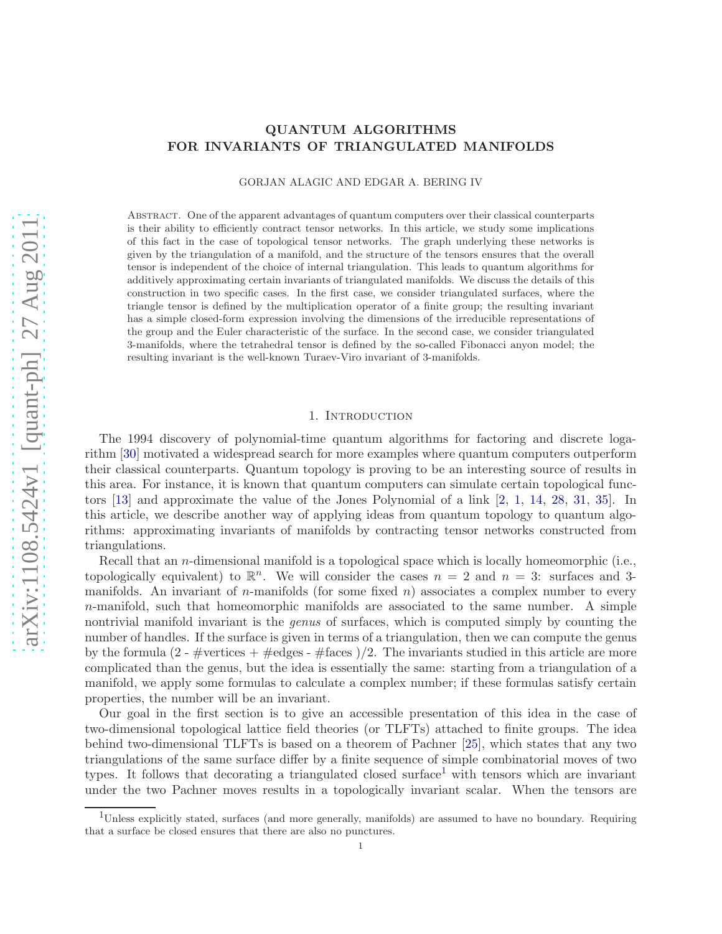# QUANTUM ALGORITHMS FOR INVARIANTS OF TRIANGULATED MANIFOLDS

GORJAN ALAGIC AND EDGAR A. BERING IV

Abstract. One of the apparent advantages of quantum computers over their classical counterparts is their ability to efficiently contract tensor networks. In this article, we study some implications of this fact in the case of topological tensor networks. The graph underlying these networks is given by the triangulation of a manifold, and the structure of the tensors ensures that the overall tensor is independent of the choice of internal triangulation. This leads to quantum algorithms for additively approximating certain invariants of triangulated manifolds. We discuss the details of this construction in two specific cases. In the first case, we consider triangulated surfaces, where the triangle tensor is defined by the multiplication operator of a finite group; the resulting invariant has a simple closed-form expression involving the dimensions of the irreducible representations of the group and the Euler characteristic of the surface. In the second case, we consider triangulated 3-manifolds, where the tetrahedral tensor is defined by the so-called Fibonacci anyon model; the resulting invariant is the well-known Turaev-Viro invariant of 3-manifolds.

# 1. Introduction

The 1994 discovery of polynomial-time quantum algorithms for factoring and discrete logarithm [\[30\]](#page-18-0) motivated a widespread search for more examples where quantum computers outperform their classical counterparts. Quantum topology is proving to be an interesting source of results in this area. For instance, it is known that quantum computers can simulate certain topological functors [\[13\]](#page-17-0) and approximate the value of the Jones Polynomial of a link [\[2,](#page-17-1) [1,](#page-17-2) [14,](#page-17-3) [28,](#page-18-1) [31,](#page-18-2) [35\]](#page-18-3). In this article, we describe another way of applying ideas from quantum topology to quantum algorithms: approximating invariants of manifolds by contracting tensor networks constructed from triangulations.

Recall that an *n*-dimensional manifold is a topological space which is locally homeomorphic (i.e., topologically equivalent) to  $\mathbb{R}^n$ . We will consider the cases  $n = 2$  and  $n = 3$ : surfaces and 3manifolds. An invariant of *n*-manifolds (for some fixed *n*) associates a complex number to every n-manifold, such that homeomorphic manifolds are associated to the same number. A simple nontrivial manifold invariant is the *genus* of surfaces, which is computed simply by counting the number of handles. If the surface is given in terms of a triangulation, then we can compute the genus by the formula (2 - #vertices + #edges - #faces )/2. The invariants studied in this article are more complicated than the genus, but the idea is essentially the same: starting from a triangulation of a manifold, we apply some formulas to calculate a complex number; if these formulas satisfy certain properties, the number will be an invariant.

Our goal in the first section is to give an accessible presentation of this idea in the case of two-dimensional topological lattice field theories (or TLFTs) attached to finite groups. The idea behind two-dimensional TLFTs is based on a theorem of Pachner [\[25\]](#page-18-4), which states that any two triangulations of the same surface differ by a finite sequence of simple combinatorial moves of two types. It follows that decorating a triangulated closed surface<sup>[1](#page-0-0)</sup> with tensors which are invariant under the two Pachner moves results in a topologically invariant scalar. When the tensors are

<span id="page-0-0"></span><sup>1</sup>Unless explicitly stated, surfaces (and more generally, manifolds) are assumed to have no boundary. Requiring that a surface be closed ensures that there are also no punctures.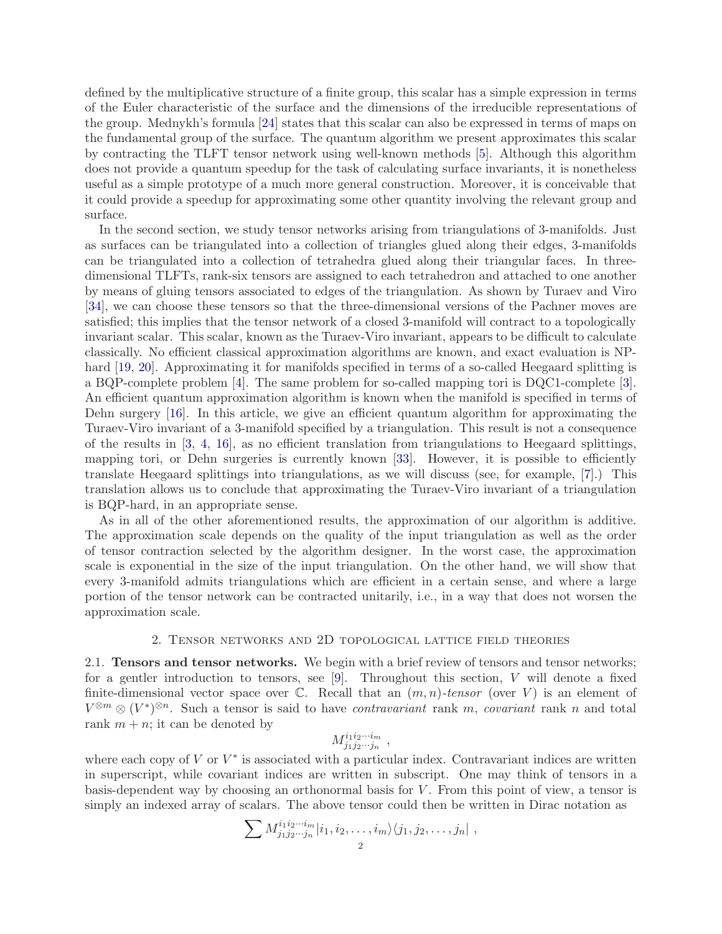defined by the multiplicative structure of a finite group, this scalar has a simple expression in terms of the Euler characteristic of the surface and the dimensions of the irreducible representations of the group. Mednykh's formula [\[24\]](#page-18-5) states that this scalar can also be expressed in terms of maps on the fundamental group of the surface. The quantum algorithm we present approximates this scalar by contracting the TLFT tensor network using well-known methods [\[5\]](#page-17-4). Although this algorithm does not provide a quantum speedup for the task of calculating surface invariants, it is nonetheless useful as a simple prototype of a much more general construction. Moreover, it is conceivable that it could provide a speedup for approximating some other quantity involving the relevant group and surface.

In the second section, we study tensor networks arising from triangulations of 3-manifolds. Just as surfaces can be triangulated into a collection of triangles glued along their edges, 3-manifolds can be triangulated into a collection of tetrahedra glued along their triangular faces. In threedimensional TLFTs, rank-six tensors are assigned to each tetrahedron and attached to one another by means of gluing tensors associated to edges of the triangulation. As shown by Turaev and Viro [\[34\]](#page-18-6), we can choose these tensors so that the three-dimensional versions of the Pachner moves are satisfied; this implies that the tensor network of a closed 3-manifold will contract to a topologically invariant scalar. This scalar, known as the Turaev-Viro invariant, appears to be difficult to calculate classically. No efficient classical approximation algorithms are known, and exact evaluation is NP-hard [\[19,](#page-17-5) [20\]](#page-17-6). Approximating it for manifolds specified in terms of a so-called Heegaard splitting is a BQP-complete problem [\[4\]](#page-17-7). The same problem for so-called mapping tori is DQC1-complete [\[3\]](#page-17-8). An efficient quantum approximation algorithm is known when the manifold is specified in terms of Dehn surgery [\[16\]](#page-17-9). In this article, we give an efficient quantum algorithm for approximating the Turaev-Viro invariant of a 3-manifold specified by a triangulation. This result is not a consequence of the results in [\[3,](#page-17-8) [4,](#page-17-7) [16\]](#page-17-9), as no efficient translation from triangulations to Heegaard splittings, mapping tori, or Dehn surgeries is currently known [\[33\]](#page-18-7). However, it is possible to efficiently translate Heegaard splittings into triangulations, as we will discuss (see, for example, [\[7\]](#page-17-10).) This translation allows us to conclude that approximating the Turaev-Viro invariant of a triangulation is BQP-hard, in an appropriate sense.

As in all of the other aforementioned results, the approximation of our algorithm is additive. The approximation scale depends on the quality of the input triangulation as well as the order of tensor contraction selected by the algorithm designer. In the worst case, the approximation scale is exponential in the size of the input triangulation. On the other hand, we will show that every 3-manifold admits triangulations which are efficient in a certain sense, and where a large portion of the tensor network can be contracted unitarily, i.e., in a way that does not worsen the approximation scale.

# 2. Tensor networks and 2D topological lattice field theories

2.1. Tensors and tensor networks. We begin with a brief review of tensors and tensor networks; for a gentler introduction to tensors, see  $[9]$ . Throughout this section, V will denote a fixed finite-dimensional vector space over  $\mathbb{C}$ . Recall that an  $(m, n)$ -tensor (over V) is an element of  $V^{\otimes m} \otimes (V^*)^{\otimes n}$ . Such a tensor is said to have *contravariant* rank m, *covariant* rank n and total rank  $m + n$ ; it can be denoted by

$$
M^{i_1 i_2 \cdots i_m}_{j_1 j_2 \cdots j_n} \ ,
$$

where each copy of  $V$  or  $V^*$  is associated with a particular index. Contravariant indices are written in superscript, while covariant indices are written in subscript. One may think of tensors in a basis-dependent way by choosing an orthonormal basis for  $V$ . From this point of view, a tensor is simply an indexed array of scalars. The above tensor could then be written in Dirac notation as

$$
\sum M^{i_1i_2\cdots i_m}_{j_1j_2\cdots j_n}|i_1,i_2,\ldots,i_m\rangle\langle j_1,j_2,\ldots,j_n|,
$$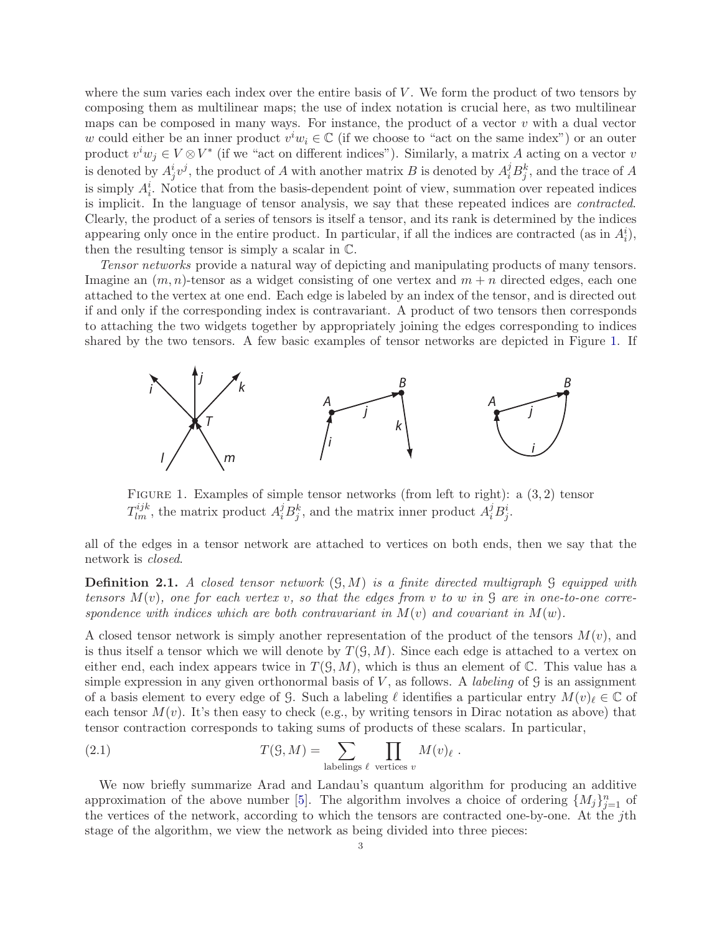where the sum varies each index over the entire basis of  $V$ . We form the product of two tensors by composing them as multilinear maps; the use of index notation is crucial here, as two multilinear maps can be composed in many ways. For instance, the product of a vector  $v$  with a dual vector w could either be an inner product  $v^iw_i \in \mathbb{C}$  (if we choose to "act on the same index") or an outer product  $v^iw_j \in V \otimes V^*$  (if we "act on different indices"). Similarly, a matrix A acting on a vector v is denoted by  $A_j^i v^j$ , the product of A with another matrix B is denoted by  $A_i^j B_j^k$ , and the trace of A is simply  $A_i^i$ . Notice that from the basis-dependent point of view, summation over repeated indices is implicit. In the language of tensor analysis, we say that these repeated indices are contracted. Clearly, the product of a series of tensors is itself a tensor, and its rank is determined by the indices appearing only once in the entire product. In particular, if all the indices are contracted (as in  $A_i^i$ ), then the resulting tensor is simply a scalar in C.

Tensor networks provide a natural way of depicting and manipulating products of many tensors. Imagine an  $(m, n)$ -tensor as a widget consisting of one vertex and  $m + n$  directed edges, each one attached to the vertex at one end. Each edge is labeled by an index of the tensor, and is directed out if and only if the corresponding index is contravariant. A product of two tensors then corresponds to attaching the two widgets together by appropriately joining the edges corresponding to indices shared by the two tensors. A few basic examples of tensor networks are depicted in Figure [1.](#page-2-0) If



<span id="page-2-0"></span>FIGURE 1. Examples of simple tensor networks (from left to right): a  $(3, 2)$  tensor  $T_{lm}^{ijk}$ , the matrix product  $A_i^j B_j^k$ , and the matrix inner product  $A_i^j B_j^i$ .

all of the edges in a tensor network are attached to vertices on both ends, then we say that the network is closed.

**Definition 2.1.** A closed tensor network  $(\mathcal{G}, M)$  is a finite directed multigraph  $\mathcal{G}$  equipped with tensors  $M(v)$ , one for each vertex v, so that the edges from v to w in  $\mathcal G$  are in one-to-one correspondence with indices which are both contravariant in  $M(v)$  and covariant in  $M(w)$ .

A closed tensor network is simply another representation of the product of the tensors  $M(v)$ , and is thus itself a tensor which we will denote by  $T(\mathcal{G}, M)$ . Since each edge is attached to a vertex on either end, each index appears twice in  $T(\mathcal{G}, M)$ , which is thus an element of C. This value has a simple expression in any given orthonormal basis of V, as follows. A *labeling* of  $\mathcal G$  is an assignment of a basis element to every edge of G. Such a labeling  $\ell$  identifies a particular entry  $M(v)_{\ell} \in \mathbb{C}$  of each tensor  $M(v)$ . It's then easy to check (e.g., by writing tensors in Dirac notation as above) that tensor contraction corresponds to taking sums of products of these scalars. In particular,

<span id="page-2-1"></span>(2.1) 
$$
T(\mathcal{G}, M) = \sum_{\text{labelings } \ell} \prod_{v \text{ vertices } v} M(v)_{\ell}
$$

We now briefly summarize Arad and Landau's quantum algorithm for producing an additive approximation of the above number [\[5\]](#page-17-4). The algorithm involves a choice of ordering  $\{M_j\}_{j=1}^n$  of the vertices of the network, according to which the tensors are contracted one-by-one. At the jth stage of the algorithm, we view the network as being divided into three pieces:

.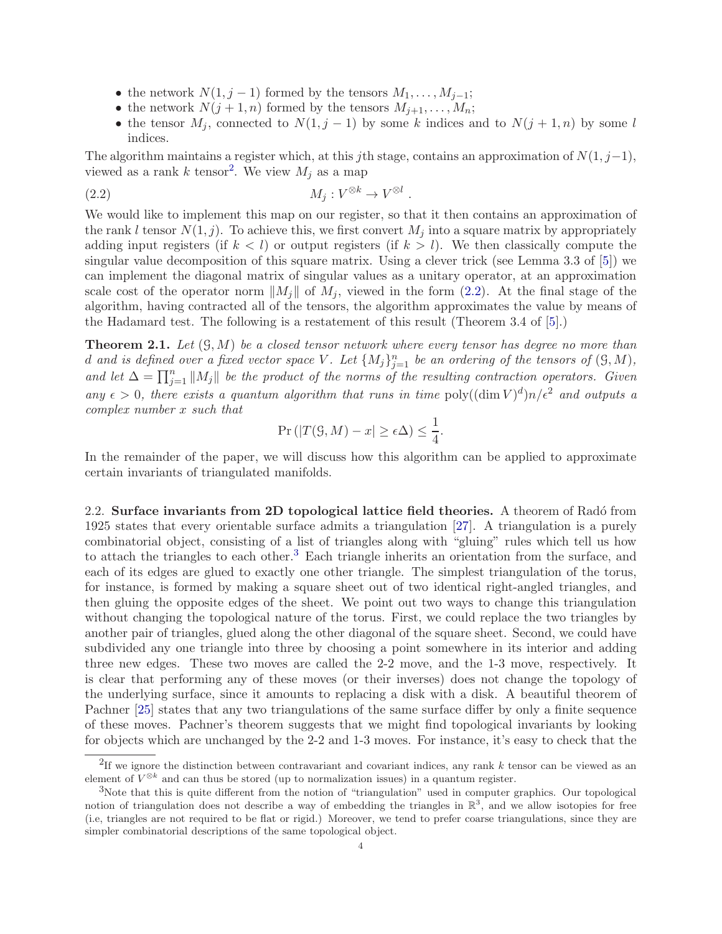- the network  $N(1, j 1)$  formed by the tensors  $M_1, \ldots, M_{j-1}$ ;
- the network  $N(j + 1, n)$  formed by the tensors  $M_{j+1}, \ldots, M_n$ ;
- <span id="page-3-1"></span>• the tensor  $M_j$ , connected to  $N(1, j - 1)$  by some k indices and to  $N(j + 1, n)$  by some l indices.

The algorithm maintains a register which, at this jth stage, contains an approximation of  $N(1, j-1)$ , viewed as a rank k tensor<sup>[2](#page-3-0)</sup>. We view  $M_j$  as a map

$$
(2.2) \t\t\t M_j: V^{\otimes k} \to V^{\otimes l}.
$$

We would like to implement this map on our register, so that it then contains an approximation of the rank l tensor  $N(1, j)$ . To achieve this, we first convert  $M_j$  into a square matrix by appropriately adding input registers (if  $k < l$ ) or output registers (if  $k > l$ ). We then classically compute the singular value decomposition of this square matrix. Using a clever trick (see Lemma 3.3 of [\[5\]](#page-17-4)) we can implement the diagonal matrix of singular values as a unitary operator, at an approximation scale cost of the operator norm  $||M_j||$  of  $M_j$ , viewed in the form [\(2.2\)](#page-3-1). At the final stage of the algorithm, having contracted all of the tensors, the algorithm approximates the value by means of the Hadamard test. The following is a restatement of this result (Theorem 3.4 of [\[5\]](#page-17-4).)

<span id="page-3-3"></span>**Theorem 2.1.** Let  $(\mathcal{G}, M)$  be a closed tensor network where every tensor has degree no more than d and is defined over a fixed vector space V. Let  $\{M_j\}_{j=1}^n$  be an ordering of the tensors of  $(\mathcal{G}, M)$ , and let  $\Delta = \prod_{j=1}^n ||M_j||$  be the product of the norms of the resulting contraction operators. Given any  $\epsilon > 0$ , there exists a quantum algorithm that runs in time poly $((\dim V)^d)n/\epsilon^2$  and outputs a complex number x such that

$$
\Pr\left(|T(\mathcal{G},M)-x|\geq \epsilon\Delta\right) \leq \frac{1}{4}.
$$

In the remainder of the paper, we will discuss how this algorithm can be applied to approximate certain invariants of triangulated manifolds.

2.2. Surface invariants from 2D topological lattice field theories. A theorem of Radó from 1925 states that every orientable surface admits a triangulation [\[27\]](#page-18-8). A triangulation is a purely combinatorial object, consisting of a list of triangles along with "gluing" rules which tell us how to attach the triangles to each other.<sup>[3](#page-3-2)</sup> Each triangle inherits an orientation from the surface, and each of its edges are glued to exactly one other triangle. The simplest triangulation of the torus, for instance, is formed by making a square sheet out of two identical right-angled triangles, and then gluing the opposite edges of the sheet. We point out two ways to change this triangulation without changing the topological nature of the torus. First, we could replace the two triangles by another pair of triangles, glued along the other diagonal of the square sheet. Second, we could have subdivided any one triangle into three by choosing a point somewhere in its interior and adding three new edges. These two moves are called the 2-2 move, and the 1-3 move, respectively. It is clear that performing any of these moves (or their inverses) does not change the topology of the underlying surface, since it amounts to replacing a disk with a disk. A beautiful theorem of Pachner [\[25\]](#page-18-4) states that any two triangulations of the same surface differ by only a finite sequence of these moves. Pachner's theorem suggests that we might find topological invariants by looking for objects which are unchanged by the 2-2 and 1-3 moves. For instance, it's easy to check that the

<span id="page-3-0"></span><sup>&</sup>lt;sup>2</sup>If we ignore the distinction between contravariant and covariant indices, any rank k tensor can be viewed as an element of  $V^{\otimes k}$  and can thus be stored (up to normalization issues) in a quantum register.

<span id="page-3-2"></span><sup>3</sup>Note that this is quite different from the notion of "triangulation" used in computer graphics. Our topological notion of triangulation does not describe a way of embedding the triangles in  $\mathbb{R}^3$ , and we allow isotopies for free (i.e, triangles are not required to be flat or rigid.) Moreover, we tend to prefer coarse triangulations, since they are simpler combinatorial descriptions of the same topological object.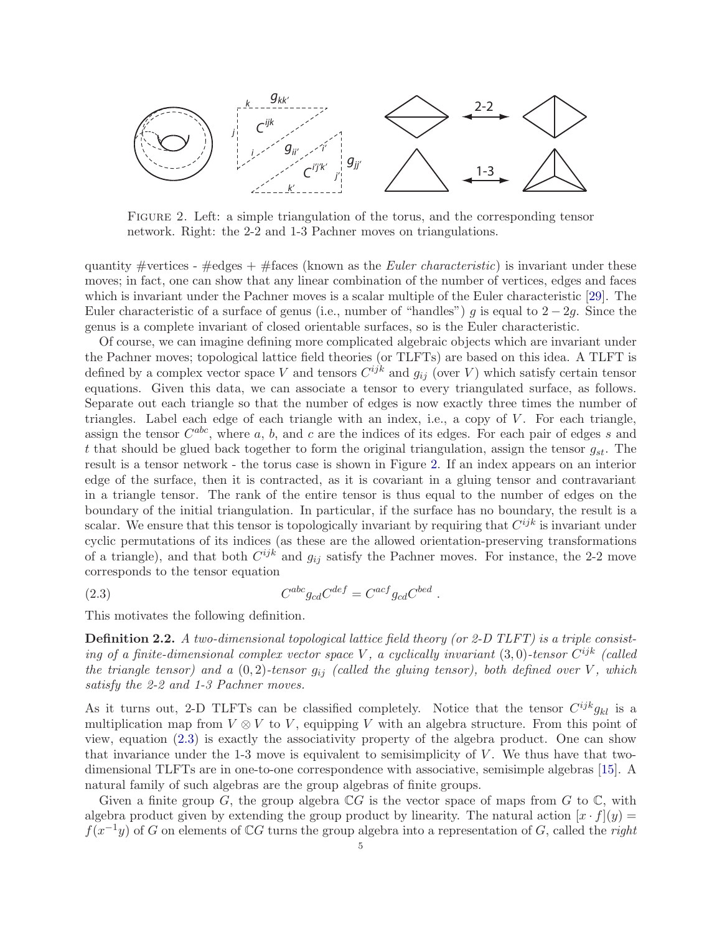

<span id="page-4-0"></span>Figure 2. Left: a simple triangulation of the torus, and the corresponding tensor network. Right: the 2-2 and 1-3 Pachner moves on triangulations.

quantity #vertices -  $\#$ edges +  $\#$ faces (known as the *Euler characteristic*) is invariant under these moves; in fact, one can show that any linear combination of the number of vertices, edges and faces which is invariant under the Pachner moves is a scalar multiple of the Euler characteristic [\[29\]](#page-18-9). The Euler characteristic of a surface of genus (i.e., number of "handles") g is equal to  $2 - 2g$ . Since the genus is a complete invariant of closed orientable surfaces, so is the Euler characteristic.

Of course, we can imagine defining more complicated algebraic objects which are invariant under the Pachner moves; topological lattice field theories (or TLFTs) are based on this idea. A TLFT is defined by a complex vector space V and tensors  $C^{ijk}$  and  $g_{ij}$  (over V) which satisfy certain tensor equations. Given this data, we can associate a tensor to every triangulated surface, as follows. Separate out each triangle so that the number of edges is now exactly three times the number of triangles. Label each edge of each triangle with an index, i.e., a copy of  $V$ . For each triangle, assign the tensor  $C^{abc}$ , where a, b, and c are the indices of its edges. For each pair of edges s and t that should be glued back together to form the original triangulation, assign the tensor  $g_{st}$ . The result is a tensor network - the torus case is shown in Figure [2.](#page-4-0) If an index appears on an interior edge of the surface, then it is contracted, as it is covariant in a gluing tensor and contravariant in a triangle tensor. The rank of the entire tensor is thus equal to the number of edges on the boundary of the initial triangulation. In particular, if the surface has no boundary, the result is a scalar. We ensure that this tensor is topologically invariant by requiring that  $C^{ijk}$  is invariant under cyclic permutations of its indices (as these are the allowed orientation-preserving transformations of a triangle), and that both  $C^{ijk}$  and  $g_{ij}$  satisfy the Pachner moves. For instance, the 2-2 move corresponds to the tensor equation

$$
(2.3) \tC^{abc}g_{cd}C^{def} = C^{acf}g_{cd}C^{bed}
$$

This motivates the following definition.

**Definition 2.2.** A two-dimensional topological lattice field theory (or 2-D TLFT) is a triple consisting of a finite-dimensional complex vector space V, a cyclically invariant  $(3,0)$ -tensor  $C^{ijk}$  (called the triangle tensor) and a  $(0, 2)$ -tensor  $g_{ij}$  (called the gluing tensor), both defined over V, which satisfy the 2-2 and 1-3 Pachner moves.

<span id="page-4-1"></span>.

As it turns out, 2-D TLFTs can be classified completely. Notice that the tensor  $C^{ijk}g_{kl}$  is a multiplication map from  $V \otimes V$  to V, equipping V with an algebra structure. From this point of view, equation [\(2.3\)](#page-4-1) is exactly the associativity property of the algebra product. One can show that invariance under the 1-3 move is equivalent to semisimplicity of  $V$ . We thus have that twodimensional TLFTs are in one-to-one correspondence with associative, semisimple algebras [\[15\]](#page-17-12). A natural family of such algebras are the group algebras of finite groups.

Given a finite group G, the group algebra  $\mathbb{C}G$  is the vector space of maps from G to  $\mathbb{C}$ , with algebra product given by extending the group product by linearity. The natural action  $[x \cdot f](y) =$  $f(x^{-1}y)$  of G on elements of CG turns the group algebra into a representation of G, called the right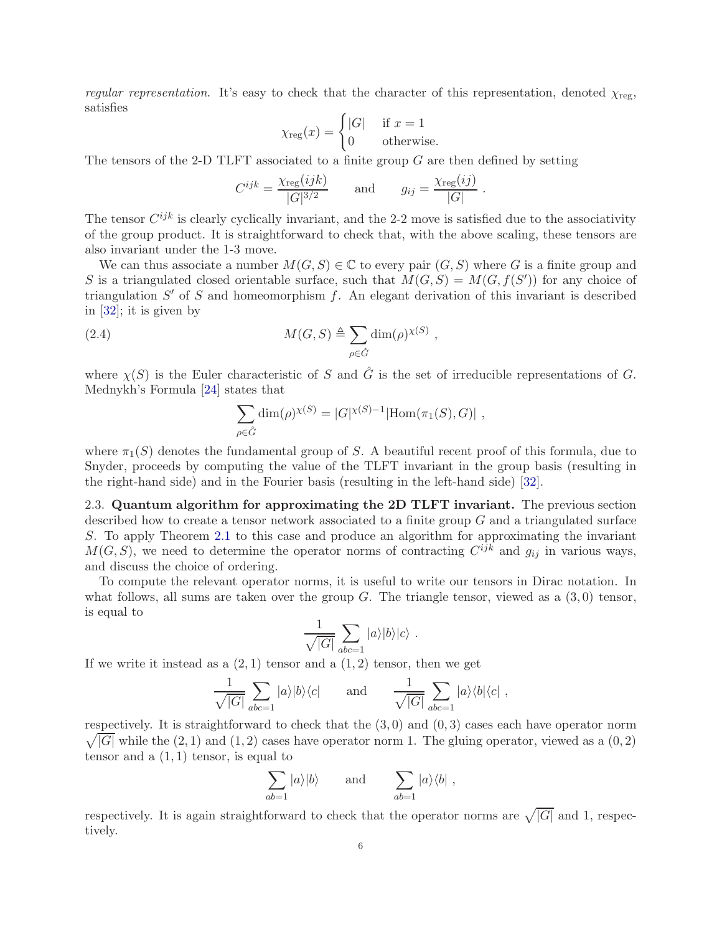regular representation. It's easy to check that the character of this representation, denoted  $\chi_{\text{reg}}$ , satisfies

$$
\chi_{\text{reg}}(x) = \begin{cases} |G| & \text{if } x = 1\\ 0 & \text{otherwise.} \end{cases}
$$

The tensors of the 2-D TLFT associated to a finite group  $G$  are then defined by setting

$$
C^{ijk} = \frac{\chi_{\text{reg}}(ijk)}{|G|^{3/2}} \quad \text{and} \quad g_{ij} = \frac{\chi_{\text{reg}}(ij)}{|G|}.
$$

The tensor  $C^{ijk}$  is clearly cyclically invariant, and the 2-2 move is satisfied due to the associativity of the group product. It is straightforward to check that, with the above scaling, these tensors are also invariant under the 1-3 move.

We can thus associate a number  $M(G, S) \in \mathbb{C}$  to every pair  $(G, S)$  where G is a finite group and S is a triangulated closed orientable surface, such that  $M(G, S) = M(G, f(S'))$  for any choice of triangulation  $S'$  of S and homeomorphism f. An elegant derivation of this invariant is described in [\[32\]](#page-18-10); it is given by

(2.4) 
$$
M(G, S) \triangleq \sum_{\rho \in \hat{G}} \dim(\rho)^{\chi(S)},
$$

where  $\chi(S)$  is the Euler characteristic of S and  $\hat{G}$  is the set of irreducible representations of G. Mednykh's Formula [\[24\]](#page-18-5) states that

$$
\sum_{\rho \in \hat{G}} \dim(\rho)^{\chi(S)} = |G|^{\chi(S)-1} |\text{Hom}(\pi_1(S), G)|,
$$

where  $\pi_1(S)$  denotes the fundamental group of S. A beautiful recent proof of this formula, due to Snyder, proceeds by computing the value of the TLFT invariant in the group basis (resulting in the right-hand side) and in the Fourier basis (resulting in the left-hand side) [\[32\]](#page-18-10).

2.3. Quantum algorithm for approximating the 2D TLFT invariant. The previous section described how to create a tensor network associated to a finite group  $G$  and a triangulated surface S. To apply Theorem [2.1](#page-3-3) to this case and produce an algorithm for approximating the invariant  $M(G, S)$ , we need to determine the operator norms of contracting  $C^{ijk}$  and  $g_{ij}$  in various ways, and discuss the choice of ordering.

To compute the relevant operator norms, it is useful to write our tensors in Dirac notation. In what follows, all sums are taken over the group  $G$ . The triangle tensor, viewed as a  $(3,0)$  tensor, is equal to

$$
\frac{1}{\sqrt{|G|}}\sum_{abc=1}|a\rangle|b\rangle|c\rangle.
$$

If we write it instead as a  $(2, 1)$  tensor and a  $(1, 2)$  tensor, then we get

$$
\frac{1}{\sqrt{|G|}}\sum_{abc=1}|a\rangle|b\rangle\langle c| \quad \text{and} \quad \frac{1}{\sqrt{|G|}}\sum_{abc=1}|a\rangle\langle b|\langle c|,
$$

 $\sqrt{|G|}$  while the  $(2, 1)$  and  $(1, 2)$  cases have operator norm 1. The gluing operator, viewed as a  $(0, 2)$ respectively. It is straightforward to check that the  $(3,0)$  and  $(0,3)$  cases each have operator norm tensor and a  $(1, 1)$  tensor, is equal to

$$
\sum_{ab=1} |a\rangle|b\rangle \quad \text{and} \quad \sum_{ab=1} |a\rangle\langle b| \ ,
$$

respectively. It is again straightforward to check that the operator norms are  $\sqrt{|G|}$  and 1, respectively.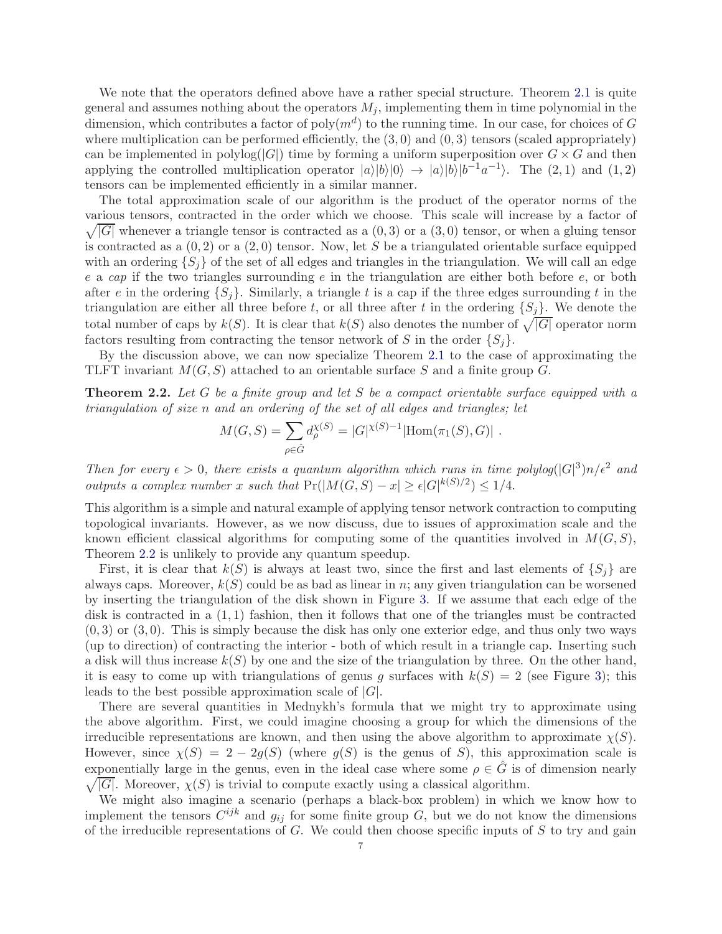We note that the operators defined above have a rather special structure. Theorem [2.1](#page-3-3) is quite general and assumes nothing about the operators  $M_j$ , implementing them in time polynomial in the dimension, which contributes a factor of  $poly(m^d)$  to the running time. In our case, for choices of G where multiplication can be performed efficiently, the  $(3,0)$  and  $(0,3)$  tensors (scaled appropriately) can be implemented in polylog( $|G|$ ) time by forming a uniform superposition over  $G \times G$  and then applying the controlled multiplication operator  $|a\rangle|b\rangle|0\rangle \rightarrow |a\rangle|b\rangle|b^{-1}a^{-1}\rangle$ . The (2, 1) and (1, 2) tensors can be implemented efficiently in a similar manner.

The total approximation scale of our algorithm is the product of the operator norms of the various tensors, contracted in the order which we choose. Th is scale will increase by a factor of  $\sqrt{|G|}$  whenever a triangle tensor is contracted as a  $(0,3)$  or a  $(3,0)$  tensor, or when a gluing tensor is contracted as a  $(0, 2)$  or a  $(2, 0)$  tensor. Now, let S be a triangulated orientable surface equipped with an ordering  $\{S_i\}$  of the set of all edges and triangles in the triangulation. We will call an edge e a cap if the two triangles surrounding  $e$  in the triangulation are either both before  $e$ , or both after e in the ordering  $\{S_i\}$ . Similarly, a triangle t is a cap if the three edges surrounding t in the triangulation are either all three before t, or all three after t in the ordering  $\{S_i\}$ . We denote the total number of caps by  $k(S)$ . It is clear that  $k(S)$  also denotes the number of  $\sqrt{|G|}$  operator norm factors resulting from contracting the tensor network of S in the order  $\{S_i\}$ .

By the discussion above, we can now specialize Theorem [2.1](#page-3-3) to the case of approximating the TLFT invariant  $M(G, S)$  attached to an orientable surface S and a finite group G.

<span id="page-6-0"></span>**Theorem 2.2.** Let G be a finite group and let S be a compact orientable surface equipped with a triangulation of size n and an ordering of the set of all edges and triangles; let

$$
M(G, S) = \sum_{\rho \in \hat{G}} d_{\rho}^{\chi(S)} = |G|^{\chi(S)-1} |\text{Hom}(\pi_1(S), G)|.
$$

Then for every  $\epsilon > 0$ , there exists a quantum algorithm which runs in time polylog( $|G|^3$ )n/ $\epsilon^2$  and outputs a complex number x such that  $Pr(|M(G, S) - x| \ge \epsilon |G|^{k(S)/2}) \le 1/4$ .

This algorithm is a simple and natural example of applying tensor network contraction to computing topological invariants. However, as we now discuss, due to issues of approximation scale and the known efficient classical algorithms for computing some of the quantities involved in  $M(G, S)$ , Theorem [2.2](#page-6-0) is unlikely to provide any quantum speedup.

First, it is clear that  $k(S)$  is always at least two, since the first and last elements of  $\{S_i\}$  are always caps. Moreover,  $k(S)$  could be as bad as linear in n; any given triangulation can be worsened by inserting the triangulation of the disk shown in Figure [3.](#page-7-0) If we assume that each edge of the disk is contracted in a  $(1,1)$  fashion, then it follows that one of the triangles must be contracted  $(0, 3)$  or  $(3, 0)$ . This is simply because the disk has only one exterior edge, and thus only two ways (up to direction) of contracting the interior - both of which result in a triangle cap. Inserting such a disk will thus increase  $k(S)$  by one and the size of the triangulation by three. On the other hand, it is easy to come up with triangulations of genus g surfaces with  $k(S) = 2$  (see Figure [3\)](#page-7-0); this leads to the best possible approximation scale of  $|G|$ .

There are several quantities in Mednykh's formula that we might try to approximate using the above algorithm. First, we could imagine choosing a group for which the dimensions of the irreducible representations are known, and then using the above algorithm to approximate  $\chi(S)$ . However, since  $\chi(S) = 2 - 2g(S)$  (where  $g(S)$  is the genus of S), this approximation scale is exponentially large in the genus, even in the ideal case where some  $\rho \in \hat{G}$  is of dimension nearly  $\sqrt{|G|}$ . Moreover,  $\chi(S)$  is trivial to compute exactly using a classical algorithm.  $\sqrt{|G|}$ . Moreover,  $\chi(S)$  is trivial to compute exactly using a classical algorithm.

We might also imagine a scenario (perhaps a black-box problem) in which we know how to implement the tensors  $C^{ijk}$  and  $g_{ij}$  for some finite group G, but we do not know the dimensions of the irreducible representations of  $G$ . We could then choose specific inputs of  $S$  to try and gain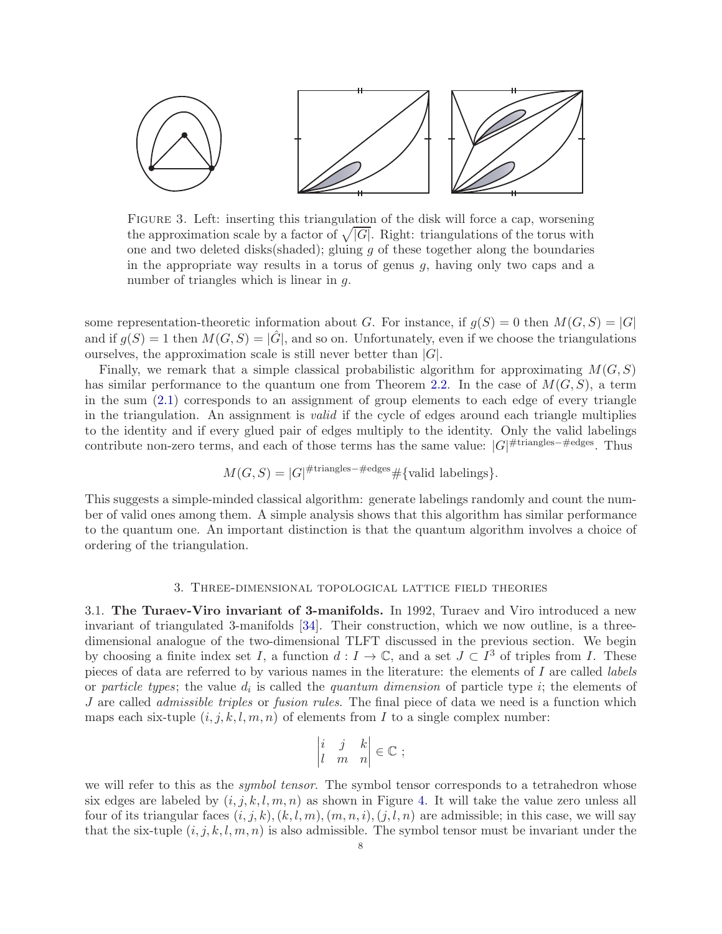

<span id="page-7-0"></span>FIGURE 3. Left: inserting this triangulation of the disk will force a cap, worsening the approximation scale by a factor of  $\sqrt{|G|}$ . Right: triangulations of the torus with one and two deleted disks (shaded); gluing  $g$  of these together along the boundaries in the appropriate way results in a torus of genus  $q$ , having only two caps and a number of triangles which is linear in g.

some representation-theoretic information about G. For instance, if  $g(S) = 0$  then  $M(G, S) = |G|$ and if  $q(S) = 1$  then  $M(G, S) = |G|$ , and so on. Unfortunately, even if we choose the triangulations ourselves, the approximation scale is still never better than  $|G|$ .

Finally, we remark that a simple classical probabilistic algorithm for approximating  $M(G, S)$ has similar performance to the quantum one from Theorem [2.2.](#page-6-0) In the case of  $M(G, S)$ , a term in the sum [\(2.1\)](#page-2-1) corresponds to an assignment of group elements to each edge of every triangle in the triangulation. An assignment is valid if the cycle of edges around each triangle multiplies to the identity and if every glued pair of edges multiply to the identity. Only the valid labelings contribute non-zero terms, and each of those terms has the same value:  $|G|$ <sup>#triangles-#edges</sup>. Thus

$$
M(G, S) = |G|^{\#\text{triangles}-\#\text{edges}} \# \{\text{valid labelings}\}.
$$

This suggests a simple-minded classical algorithm: generate labelings randomly and count the number of valid ones among them. A simple analysis shows that this algorithm has similar performance to the quantum one. An important distinction is that the quantum algorithm involves a choice of ordering of the triangulation.

#### 3. Three-dimensional topological lattice field theories

<span id="page-7-1"></span>3.1. The Turaev-Viro invariant of 3-manifolds. In 1992, Turaev and Viro introduced a new invariant of triangulated 3-manifolds [\[34\]](#page-18-6). Their construction, which we now outline, is a threedimensional analogue of the two-dimensional TLFT discussed in the previous section. We begin by choosing a finite index set I, a function  $d: I \to \mathbb{C}$ , and a set  $J \subset I^3$  of triples from I. These pieces of data are referred to by various names in the literature: the elements of I are called labels or particle types; the value  $d_i$  is called the quantum dimension of particle type i; the elements of J are called *admissible triples* or *fusion rules*. The final piece of data we need is a function which maps each six-tuple  $(i, j, k, l, m, n)$  of elements from I to a single complex number:

$$
\begin{vmatrix} i & j & k \\ l & m & n \end{vmatrix} \in \mathbb{C} ;
$$

we will refer to this as the *symbol tensor*. The symbol tensor corresponds to a tetrahedron whose six edges are labeled by  $(i, j, k, l, m, n)$  as shown in Figure [4.](#page-8-0) It will take the value zero unless all four of its triangular faces  $(i, j, k), (k, l, m), (m, n, i), (j, l, n)$  are admissible; in this case, we will say that the six-tuple  $(i, j, k, l, m, n)$  is also admissible. The symbol tensor must be invariant under the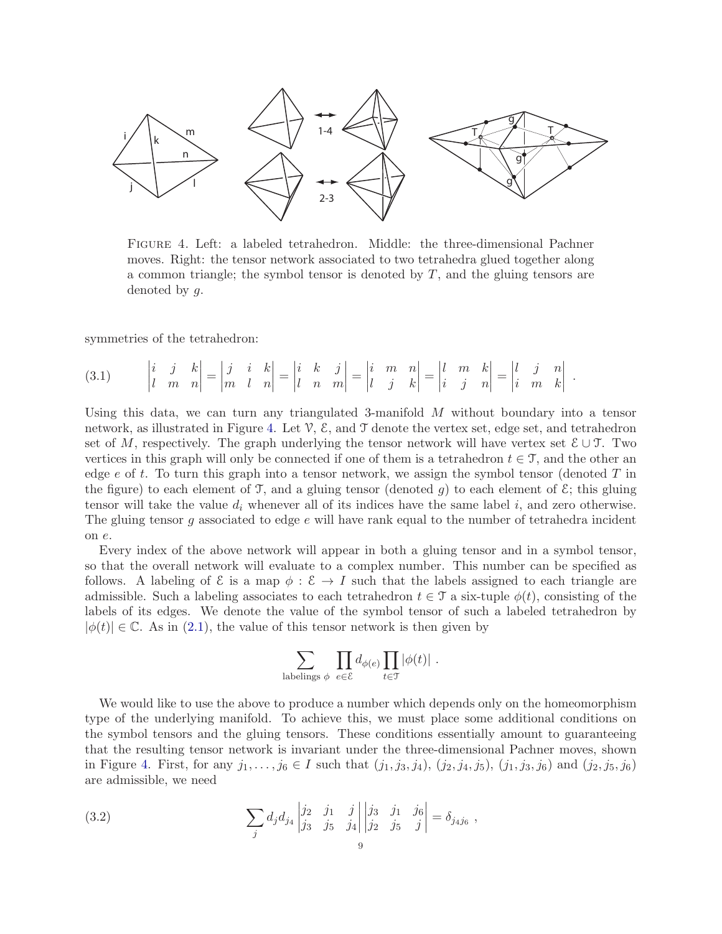

<span id="page-8-0"></span>Figure 4. Left: a labeled tetrahedron. Middle: the three-dimensional Pachner moves. Right: the tensor network associated to two tetrahedra glued together along a common triangle; the symbol tensor is denoted by  $T$ , and the gluing tensors are denoted by g.

symmetries of the tetrahedron:

<span id="page-8-2"></span>
$$
(3.1) \qquad \begin{vmatrix} i & j & k \\ l & m & n \end{vmatrix} = \begin{vmatrix} j & i & k \\ m & l & n \end{vmatrix} = \begin{vmatrix} i & k & j \\ l & n & m \end{vmatrix} = \begin{vmatrix} i & m & n \\ l & j & k \end{vmatrix} = \begin{vmatrix} l & m & k \\ i & j & n \end{vmatrix} = \begin{vmatrix} l & j & n \\ i & m & k \end{vmatrix}
$$

Using this data, we can turn any triangulated 3-manifold M without boundary into a tensor network, as illustrated in Figure [4.](#page-8-0) Let  $\mathcal{V}, \mathcal{E}$ , and  $\mathcal{T}$  denote the vertex set, edge set, and tetrahedron set of M, respectively. The graph underlying the tensor network will have vertex set  $\mathcal{E} \cup \mathcal{T}$ . Two vertices in this graph will only be connected if one of them is a tetrahedron  $t \in \mathcal{T}$ , and the other an edge e of t. To turn this graph into a tensor network, we assign the symbol tensor (denoted  $T$  in the figure) to each element of T, and a gluing tensor (denoted g) to each element of  $\mathcal{E}$ ; this gluing tensor will take the value  $d_i$  whenever all of its indices have the same label i, and zero otherwise. The gluing tensor g associated to edge  $e$  will have rank equal to the number of tetrahedra incident on e.

.

Every index of the above network will appear in both a gluing tensor and in a symbol tensor, so that the overall network will evaluate to a complex number. This number can be specified as follows. A labeling of  $\mathcal E$  is a map  $\phi : \mathcal E \to I$  such that the labels assigned to each triangle are admissible. Such a labeling associates to each tetrahedron  $t \in \mathcal{T}$  a six-tuple  $\phi(t)$ , consisting of the labels of its edges. We denote the value of the symbol tensor of such a labeled tetrahedron by  $|\phi(t)| \in \mathbb{C}$ . As in [\(2.1\)](#page-2-1), the value of this tensor network is then given by

$$
\sum_{\text{labelings }\phi} \prod_{e \in \mathcal{E}} d_{\phi(e)} \prod_{t \in \mathcal{T}} |\phi(t)| \ .
$$

We would like to use the above to produce a number which depends only on the homeomorphism type of the underlying manifold. To achieve this, we must place some additional conditions on the symbol tensors and the gluing tensors. These conditions essentially amount to guaranteeing that the resulting tensor network is invariant under the three-dimensional Pachner moves, shown in Figure [4.](#page-8-0) First, for any  $j_1, \ldots, j_6 \in I$  such that  $(j_1, j_3, j_4), (j_2, j_4, j_5), (j_1, j_3, j_6)$  and  $(j_2, j_5, j_6)$ are admissible, we need

<span id="page-8-1"></span>(3.2) 
$$
\sum_{j} d_j d_{j_4} \begin{vmatrix} j_2 & j_1 & j \\ j_3 & j_5 & j_4 \end{vmatrix} \begin{vmatrix} j_3 & j_1 & j_6 \\ j_2 & j_5 & j \end{vmatrix} = \delta_{j_4 j_6} ,
$$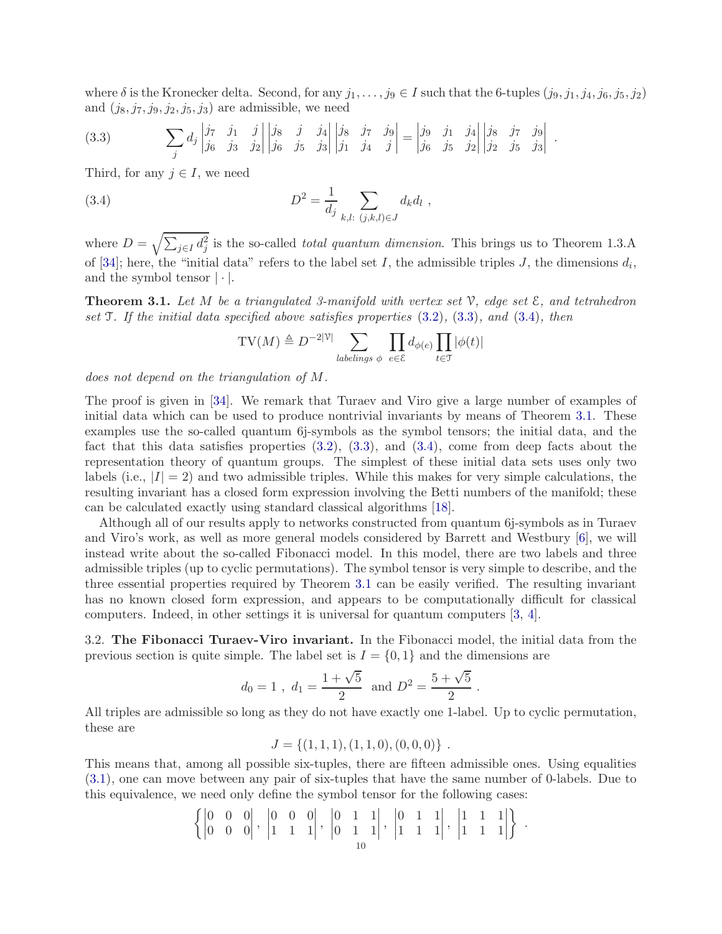where  $\delta$  is the Kronecker delta. Second, for any  $j_1, \ldots, j_9 \in I$  such that the 6-tuples  $(j_9, j_1, j_4, j_6, j_5, j_2)$ and  $(j_8, j_7, j_9, j_2, j_5, j_3)$  are admissible, we need

<span id="page-9-0"></span>
$$
(3.3) \qquad \qquad \sum_{j} d_{j} \begin{vmatrix} j\tau & j_{1} & j \\ j_{6} & j_{3} & j_{2} \end{vmatrix} \begin{vmatrix} j_{8} & j & j_{4} \\ j_{6} & j_{5} & j_{3} \end{vmatrix} \begin{vmatrix} j_{8} & j\tau & j_{9} \\ j_{1} & j_{4} & j \end{vmatrix} = \begin{vmatrix} j_{9} & j_{1} & j_{4} \\ j_{6} & j_{5} & j_{2} \end{vmatrix} \begin{vmatrix} j_{8} & j\tau & j_{9} \\ j_{2} & j_{5} & j_{3} \end{vmatrix}.
$$

Third, for any  $j \in I$ , we need

(3.4) 
$$
D^2 = \frac{1}{d_j} \sum_{k,l: (j,k,l) \in J} d_k d_l,
$$

where  $D = \sqrt{\sum_{j \in I} d_j^2}$  is the so-called *total quantum dimension*. This brings us to Theorem 1.3.A of [\[34\]](#page-18-6); here, the "initial data" refers to the label set I, the admissible triples J, the dimensions  $d_i$ , and the symbol tensor  $|\cdot|$ .

<span id="page-9-2"></span>**Theorem 3.1.** Let M be a triangulated 3-manifold with vertex set  $\mathcal{V}$ , edge set  $\mathcal{E}$ , and tetrahedron set  $\mathcal T$ . If the initial data specified above satisfies properties  $(3.2)$ ,  $(3.3)$ , and  $(3.4)$ , then

<span id="page-9-1"></span>
$$
\mathrm{TV}(M) \triangleq D^{-2|\mathcal{V}|} \sum_{\text{labelings } \phi} \prod_{e \in \mathcal{E}} d_{\phi(e)} \prod_{t \in \mathcal{T}} |\phi(t)|
$$

does not depend on the triangulation of M.

The proof is given in [\[34\]](#page-18-6). We remark that Turaev and Viro give a large number of examples of initial data which can be used to produce nontrivial invariants by means of Theorem [3.1.](#page-9-2) These examples use the so-called quantum 6j-symbols as the symbol tensors; the initial data, and the fact that this data satisfies properties  $(3.2)$ ,  $(3.3)$ , and  $(3.4)$ , come from deep facts about the representation theory of quantum groups. The simplest of these initial data sets uses only two labels (i.e.,  $|I| = 2$ ) and two admissible triples. While this makes for very simple calculations, the resulting invariant has a closed form expression involving the Betti numbers of the manifold; these can be calculated exactly using standard classical algorithms [\[18\]](#page-17-13).

Although all of our results apply to networks constructed from quantum 6j-symbols as in Turaev and Viro's work, as well as more general models considered by Barrett and Westbury [\[6\]](#page-17-14), we will instead write about the so-called Fibonacci model. In this model, there are two labels and three admissible triples (up to cyclic permutations). The symbol tensor is very simple to describe, and the three essential properties required by Theorem [3.1](#page-9-2) can be easily verified. The resulting invariant has no known closed form expression, and appears to be computationally difficult for classical computers. Indeed, in other settings it is universal for quantum computers [\[3,](#page-17-8) [4\]](#page-17-7).

3.2. The Fibonacci Turaev-Viro invariant. In the Fibonacci model, the initial data from the previous section is quite simple. The label set is  $I = \{0, 1\}$  and the dimensions are

$$
d_0 = 1
$$
,  $d_1 = \frac{1 + \sqrt{5}}{2}$  and  $D^2 = \frac{5 + \sqrt{5}}{2}$ .

All triples are admissible so long as they do not have exactly one 1-label. Up to cyclic permutation, these are

$$
J = \{(1,1,1), (1,1,0), (0,0,0)\}.
$$

This means that, among all possible six-tuples, there are fifteen admissible ones. Using equalities [\(3.1\)](#page-8-2), one can move between any pair of six-tuples that have the same number of 0-labels. Due to this equivalence, we need only define the symbol tensor for the following cases:

$$
\left\{ \begin{vmatrix} 0 & 0 & 0 \\ 0 & 0 & 0 \end{vmatrix}, \begin{vmatrix} 0 & 0 & 0 \\ 1 & 1 & 1 \end{vmatrix}, \begin{vmatrix} 0 & 1 & 1 \\ 0 & 1 & 1 \end{vmatrix}, \begin{vmatrix} 0 & 1 & 1 \\ 1 & 1 & 1 \end{vmatrix}, \begin{vmatrix} 1 & 1 & 1 \\ 1 & 1 & 1 \end{vmatrix} \right\}.
$$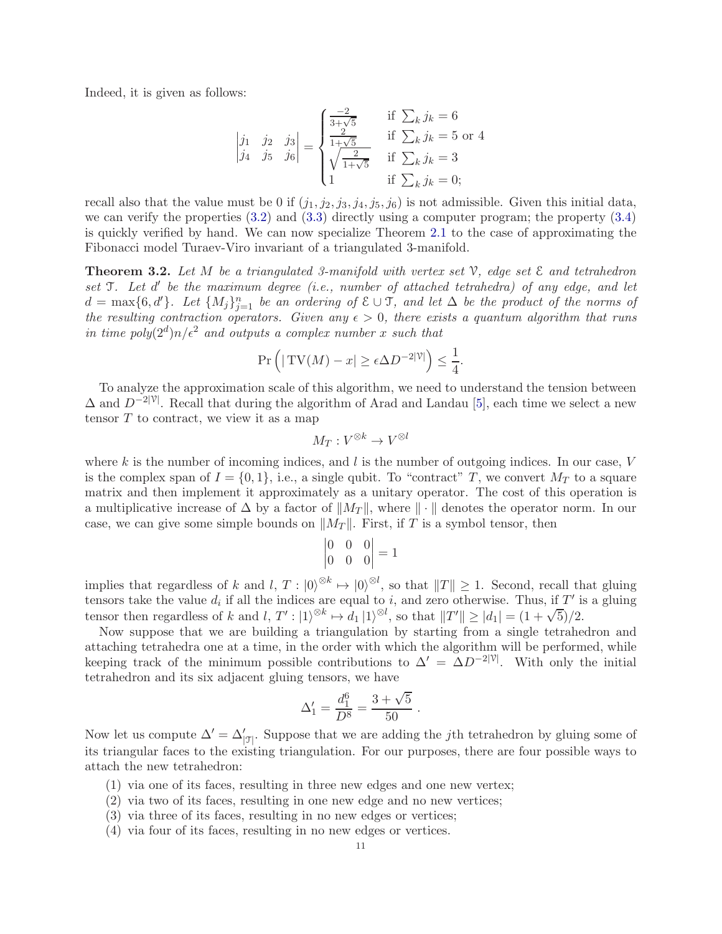Indeed, it is given as follows:

$$
\begin{vmatrix} j_1 & j_2 & j_3 \ j_4 & j_5 & j_6 \end{vmatrix} = \begin{cases} \frac{-2}{3+\sqrt{5}} & \text{if } \sum_k j_k = 6\\ \frac{2}{1+\sqrt{5}} & \text{if } \sum_k j_k = 5 \text{ or } 4\\ \sqrt{\frac{2}{1+\sqrt{5}}} & \text{if } \sum_k j_k = 3\\ 1 & \text{if } \sum_k j_k = 0; \end{cases}
$$

recall also that the value must be 0 if  $(j_1, j_2, j_3, j_4, j_5, j_6)$  is not admissible. Given this initial data, we can verify the properties [\(3.2\)](#page-8-1) and [\(3.3\)](#page-9-0) directly using a computer program; the property [\(3.4\)](#page-9-1) is quickly verified by hand. We can now specialize Theorem [2.1](#page-3-3) to the case of approximating the Fibonacci model Turaev-Viro invariant of a triangulated 3-manifold.

<span id="page-10-0"></span>**Theorem 3.2.** Let M be a triangulated 3-manifold with vertex set  $\mathcal{V}$ , edge set  $\mathcal{E}$  and tetrahedron set *T*. Let d' be the maximum degree (i.e., number of attached tetrahedra) of any edge, and let  $d = \max\{6, d'\}$ . Let  $\{M_j\}_{j=1}^n$  be an ordering of  $\mathcal{E} \cup \mathcal{T}$ , and let  $\Delta$  be the product of the norms of the resulting contraction operators. Given any  $\epsilon > 0$ , there exists a quantum algorithm that runs in time  $poly(2<sup>d</sup>)n/\epsilon<sup>2</sup>$  and outputs a complex number x such that

$$
\Pr\left(|\operatorname{TV}(M) - x| \ge \epsilon \Delta D^{-2|\mathcal{V}|}\right) \le \frac{1}{4}.
$$

To analyze the approximation scale of this algorithm, we need to understand the tension between  $\Delta$  and  $D^{-2|\mathcal{V}|}$ . Recall that during the algorithm of Arad and Landau [\[5\]](#page-17-4), each time we select a new tensor  $T$  to contract, we view it as a map

$$
M_T: V^{\otimes k} \to V^{\otimes l}
$$

where  $k$  is the number of incoming indices, and  $l$  is the number of outgoing indices. In our case,  $V$ is the complex span of  $I = \{0, 1\}$ , i.e., a single qubit. To "contract" T, we convert  $M_T$  to a square matrix and then implement it approximately as a unitary operator. The cost of this operation is a multiplicative increase of  $\Delta$  by a factor of  $||M_T||$ , where  $|| \cdot ||$  denotes the operator norm. In our case, we can give some simple bounds on  $||M_T||$ . First, if T is a symbol tensor, then

$$
\begin{vmatrix} 0 & 0 & 0 \\ 0 & 0 & 0 \end{vmatrix} = 1
$$

implies that regardless of k and l,  $T: |0\rangle^{\otimes k} \mapsto |0\rangle^{\otimes l}$ , so that  $||T|| \geq 1$ . Second, recall that gluing tensors take the value  $d_i$  if all the indices are equal to i, and zero otherwise. Thus, if  $T'$  is a gluing tensor then regardless of k and l,  $T'$  :  $|1\rangle^{\otimes k} \mapsto d_1 |1\rangle^{\otimes l}$ , so that  $||T'|| \ge |d_1| = (1 + \sqrt{5})/2$ .

Now suppose that we are building a triangulation by starting from a single tetrahedron and attaching tetrahedra one at a time, in the order with which the algorithm will be performed, while keeping track of the minimum possible contributions to  $\Delta' = \Delta D^{-2|\mathcal{V}|}$ . With only the initial tetrahedron and its six adjacent gluing tensors, we have

$$
\Delta_1' = \frac{d_1^6}{D^8} = \frac{3 + \sqrt{5}}{50}
$$

.

Now let us compute  $\Delta' = \Delta'_{|\mathcal{F}|}$ . Suppose that we are adding the *j*th tetrahedron by gluing some of its triangular faces to the existing triangulation. For our purposes, there are four possible ways to attach the new tetrahedron:

- (1) via one of its faces, resulting in three new edges and one new vertex;
- (2) via two of its faces, resulting in one new edge and no new vertices;
- (3) via three of its faces, resulting in no new edges or vertices;
- (4) via four of its faces, resulting in no new edges or vertices.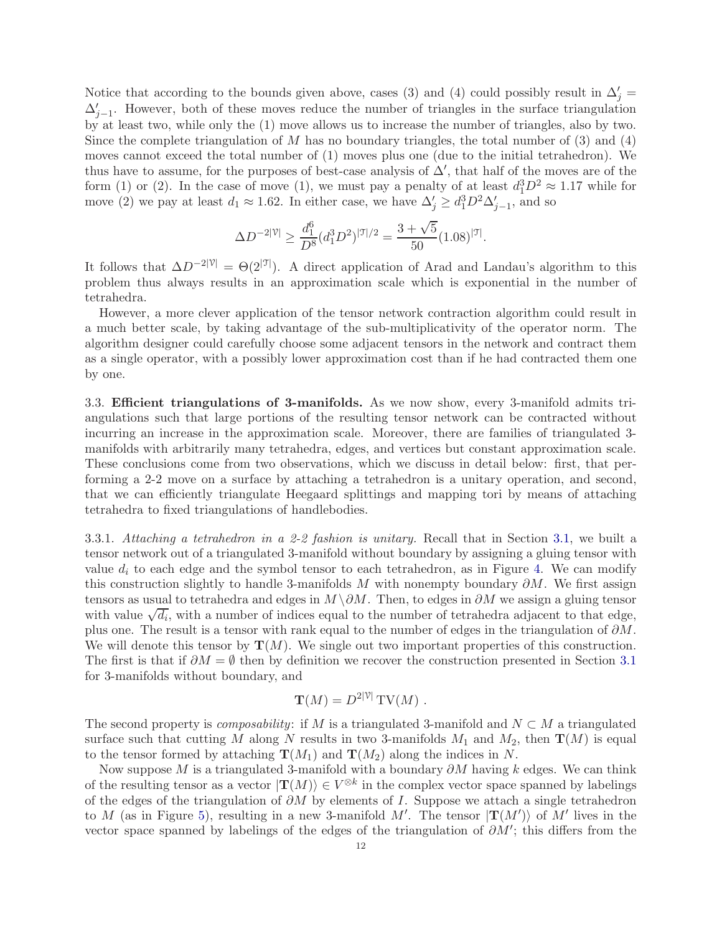Notice that according to the bounds given above, cases (3) and (4) could possibly result in  $\Delta'_{j}$  =  $\Delta'_{j-1}$ . However, both of these moves reduce the number of triangles in the surface triangulation by at least two, while only the (1) move allows us to increase the number of triangles, also by two. Since the complete triangulation of  $M$  has no boundary triangles, the total number of  $(3)$  and  $(4)$ moves cannot exceed the total number of (1) moves plus one (due to the initial tetrahedron). We thus have to assume, for the purposes of best-case analysis of  $\Delta'$ , that half of the moves are of the form (1) or (2). In the case of move (1), we must pay a penalty of at least  $d_1^3D^2 \approx 1.17$  while for move (2) we pay at least  $d_1 \approx 1.62$ . In either case, we have  $\Delta'_{j} \geq d_1^3 D^2 \Delta'_{j-1}$ , and so

$$
\Delta D^{-2|\mathcal{V}|} \geq \frac{d_1^6}{D^8} (d_1^3 D^2)^{|\mathcal{T}|/2} = \frac{3+\sqrt{5}}{50} (1.08)^{|\mathcal{T}|}.
$$

It follows that  $\Delta D^{-2|\mathcal{V}|} = \Theta(2^{|\mathcal{J}|})$ . A direct application of Arad and Landau's algorithm to this problem thus always results in an approximation scale which is exponential in the number of tetrahedra.

However, a more clever application of the tensor network contraction algorithm could result in a much better scale, by taking advantage of the sub-multiplicativity of the operator norm. The algorithm designer could carefully choose some adjacent tensors in the network and contract them as a single operator, with a possibly lower approximation cost than if he had contracted them one by one.

3.3. Efficient triangulations of 3-manifolds. As we now show, every 3-manifold admits triangulations such that large portions of the resulting tensor network can be contracted without incurring an increase in the approximation scale. Moreover, there are families of triangulated 3 manifolds with arbitrarily many tetrahedra, edges, and vertices but constant approximation scale. These conclusions come from two observations, which we discuss in detail below: first, that performing a 2-2 move on a surface by attaching a tetrahedron is a unitary operation, and second, that we can efficiently triangulate Heegaard splittings and mapping tori by means of attaching tetrahedra to fixed triangulations of handlebodies.

<span id="page-11-0"></span>3.3.1. Attaching a tetrahedron in a 2-2 fashion is unitary. Recall that in Section [3.1,](#page-7-1) we built a tensor network out of a triangulated 3-manifold without boundary by assigning a gluing tensor with value  $d_i$  to each edge and the symbol tensor to each tetrahedron, as in Figure [4.](#page-8-0) We can modify this construction slightly to handle 3-manifolds M with nonempty boundary  $\partial M$ . We first assign tensors as usual to tetrahedra and edges in  $M \setminus \partial M$ . Then, to edges in  $\partial M$  we assign a gluing tensor with value  $\sqrt{d_i}$ , with a number of indices equal to the number of tetrahedra adjacent to that edge, plus one. The result is a tensor with rank equal to the number of edges in the triangulation of  $\partial M$ . We will denote this tensor by  $\mathbf{T}(M)$ . We single out two important properties of this construction. The first is that if  $\partial M = \emptyset$  then by definition we recover the construction presented in Section [3.1](#page-7-1) for 3-manifolds without boundary, and

$$
\mathbf{T}(M) = D^{2|\mathcal{V}|} \mathbf{TV}(M) .
$$

The second property is *composability*: if M is a triangulated 3-manifold and  $N \subset M$  a triangulated surface such that cutting M along N results in two 3-manifolds  $M_1$  and  $M_2$ , then  $\mathbf{T}(M)$  is equal to the tensor formed by attaching  $\mathbf{T}(M_1)$  and  $\mathbf{T}(M_2)$  along the indices in N.

Now suppose M is a triangulated 3-manifold with a boundary  $\partial M$  having k edges. We can think of the resulting tensor as a vector  $|\mathbf{T}(M)\rangle \in V^{\otimes k}$  in the complex vector space spanned by labelings of the edges of the triangulation of  $\partial M$  by elements of I. Suppose we attach a single tetrahedron to M (as in Figure [5\)](#page-12-0), resulting in a new 3-manifold M'. The tensor  $|\mathbf{T}(M')\rangle$  of M' lives in the vector space spanned by labelings of the edges of the triangulation of  $\partial M'$ ; this differs from the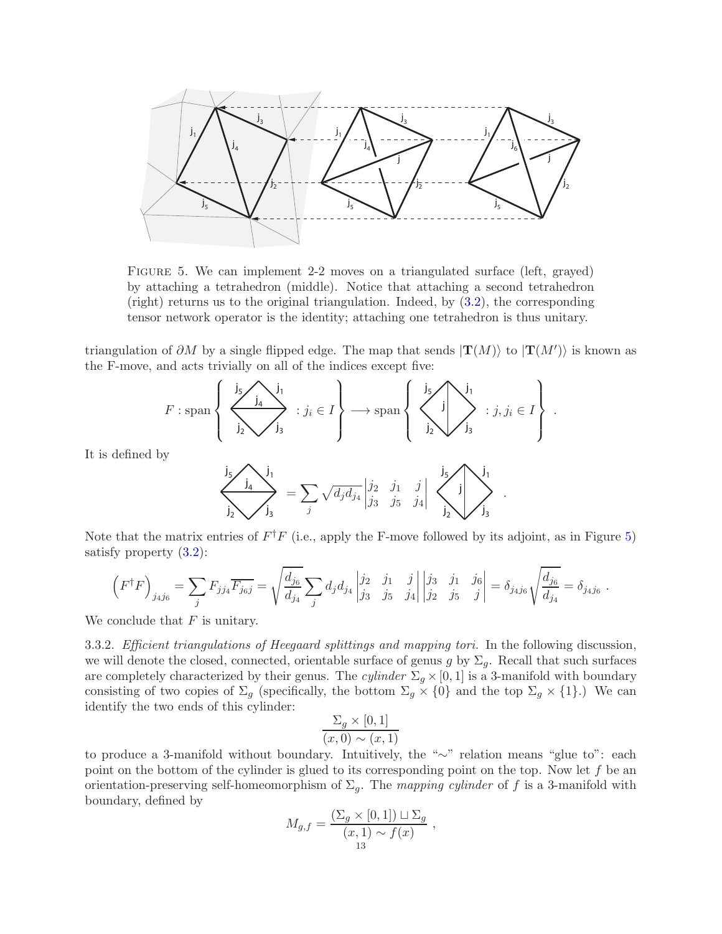

<span id="page-12-0"></span>FIGURE 5. We can implement 2-2 moves on a triangulated surface (left, grayed) by attaching a tetrahedron (middle). Notice that attaching a second tetrahedron (right) returns us to the original triangulation. Indeed, by [\(3.2\)](#page-8-1), the corresponding tensor network operator is the identity; attaching one tetrahedron is thus unitary.

triangulation of  $\partial M$  by a single flipped edge. The map that sends  $|\mathbf{T}(M)\rangle$  to  $|\mathbf{T}(M')\rangle$  is known as the F-move, and acts trivially on all of the indices except five:

$$
F: \operatorname{span}\left\{\left\{\sum_{j_2}^{j_5} \sum_{j_3}^{j_1} : j_i \in I\right\} \longrightarrow \operatorname{span}\left\{\left\{\sum_{j_2}^{j_5} \sum_{j_3}^{j_1} : j, j_i \in I\right\}\right\}.
$$

It is defined by

$$
\frac{\int_{\mathbf{j}_2} \mathbf{j}_4}{\int_{\mathbf{j}_2} \mathbf{j}_3} = \sum_j \sqrt{d_j d_{j_4}} \begin{vmatrix} j_2 & j_1 & j \\ j_3 & j_5 & j_4 \end{vmatrix} \begin{vmatrix} \mathbf{j}_5 \\ \mathbf{j}_2 \end{vmatrix} \begin{vmatrix} \mathbf{j}_1 \\ \mathbf{j}_2 \end{vmatrix}.
$$

Note that the matrix entries of  $F^{\dagger}F$  (i.e., apply the F-move followed by its adjoint, as in Figure [5\)](#page-12-0) satisfy property [\(3.2\)](#page-8-1):

$$
\left(F^{\dagger}F\right)_{j_4j_6} = \sum_j F_{jj_4} \overline{F_{j_6j}} = \sqrt{\frac{d_{j_6}}{d_{j_4}}} \sum_j d_j d_{j_4} \begin{vmatrix} j_2 & j_1 & j \\ j_3 & j_5 & j_4 \end{vmatrix} \begin{vmatrix} j_3 & j_1 & j_6 \\ j_2 & j_5 & j \end{vmatrix} = \delta_{j_4j_6} \sqrt{\frac{d_{j_6}}{d_{j_4}}} = \delta_{j_4j_6}.
$$

We conclude that  $F$  is unitary.

3.3.2. Efficient triangulations of Heegaard splittings and mapping tori. In the following discussion, we will denote the closed, connected, orientable surface of genus g by  $\Sigma_q$ . Recall that such surfaces are completely characterized by their genus. The cylinder  $\Sigma_q \times [0, 1]$  is a 3-manifold with boundary consisting of two copies of  $\Sigma_g$  (specifically, the bottom  $\Sigma_g \times \{0\}$  and the top  $\Sigma_g \times \{1\}$ .) We can identify the two ends of this cylinder:

$$
\frac{\Sigma_g \times [0,1]}{(x,0) \sim (x,1)}
$$

to produce a 3-manifold without boundary. Intuitively, the "∼" relation means "glue to": each point on the bottom of the cylinder is glued to its corresponding point on the top. Now let  $f$  be an orientation-preserving self-homeomorphism of  $\Sigma_q$ . The mapping cylinder of f is a 3-manifold with boundary, defined by

$$
M_{g,f} = \frac{\left(\sum_g \times [0,1]\right) \sqcup \sum_g}{\left(x,1\right) \sim f(x)},
$$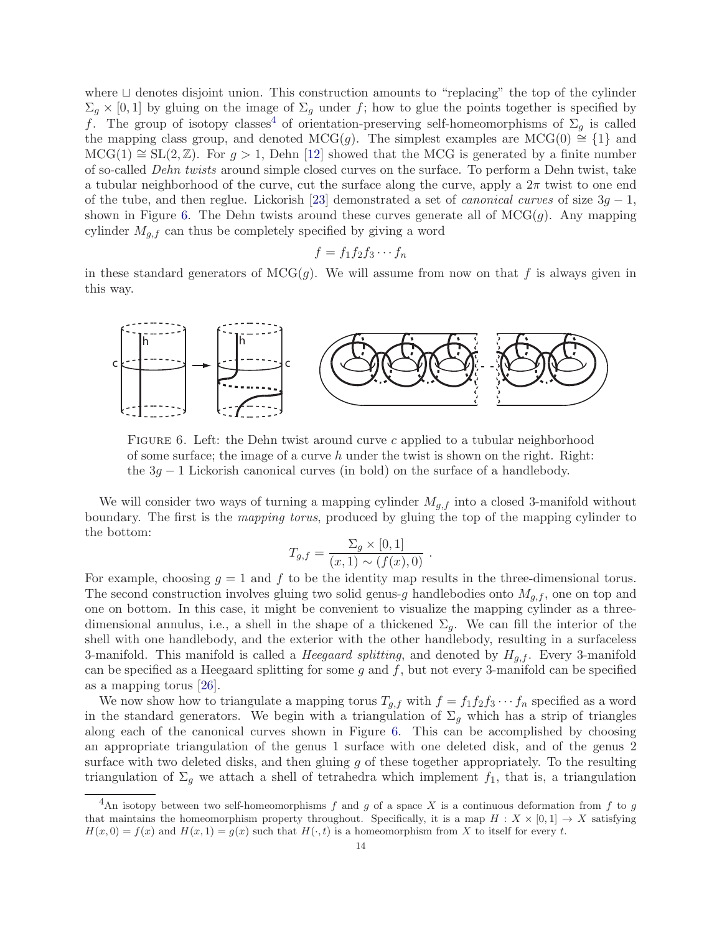where ⊔ denotes disjoint union. This construction amounts to "replacing" the top of the cylinder  $\Sigma_g \times [0,1]$  by gluing on the image of  $\Sigma_g$  under f; how to glue the points together is specified by f. The group of isotopy classes<sup>[4](#page-13-0)</sup> of orientation-preserving self-homeomorphisms of  $\Sigma_g$  is called the mapping class group, and denoted MCG(g). The simplest examples are MCG(0)  $\cong$  {1} and  $MCG(1) \cong SL(2, \mathbb{Z})$ . For  $g > 1$ , Dehn [\[12\]](#page-17-15) showed that the MCG is generated by a finite number of so-called Dehn twists around simple closed curves on the surface. To perform a Dehn twist, take a tubular neighborhood of the curve, cut the surface along the curve, apply a  $2\pi$  twist to one end of the tube, and then reglue. Lickorish [\[23\]](#page-17-16) demonstrated a set of *canonical curves* of size  $3g - 1$ , shown in Figure [6.](#page-13-1) The Dehn twists around these curves generate all of  $MCG(g)$ . Any mapping cylinder  $M_{q,f}$  can thus be completely specified by giving a word

$$
f = f_1 f_2 f_3 \cdots f_n
$$

in these standard generators of  $\mathrm{MCG}(q)$ . We will assume from now on that f is always given in this way.



<span id="page-13-1"></span>FIGURE 6. Left: the Dehn twist around curve c applied to a tubular neighborhood of some surface; the image of a curve h under the twist is shown on the right. Right: the  $3g - 1$  Lickorish canonical curves (in bold) on the surface of a handlebody.

We will consider two ways of turning a mapping cylinder  $M_{g,f}$  into a closed 3-manifold without boundary. The first is the mapping torus, produced by gluing the top of the mapping cylinder to the bottom:

$$
T_{g,f} = \frac{\Sigma_g \times [0,1]}{(x,1) \sim (f(x),0)}.
$$

For example, choosing  $g = 1$  and f to be the identity map results in the three-dimensional torus. The second construction involves gluing two solid genus-g handlebodies onto  $M_{q,f}$ , one on top and one on bottom. In this case, it might be convenient to visualize the mapping cylinder as a threedimensional annulus, i.e., a shell in the shape of a thickened  $\Sigma_q$ . We can fill the interior of the shell with one handlebody, and the exterior with the other handlebody, resulting in a surfaceless 3-manifold. This manifold is called a *Heegaard splitting*, and denoted by  $H_{q,f}$ . Every 3-manifold can be specified as a Heegaard splitting for some  $q$  and  $f$ , but not every 3-manifold can be specified as a mapping torus [\[26\]](#page-18-11).

We now show how to triangulate a mapping torus  $T_{q,f}$  with  $f = f_1 f_2 f_3 \cdots f_n$  specified as a word in the standard generators. We begin with a triangulation of  $\Sigma_g$  which has a strip of triangles along each of the canonical curves shown in Figure [6.](#page-13-1) This can be accomplished by choosing an appropriate triangulation of the genus 1 surface with one deleted disk, and of the genus 2 surface with two deleted disks, and then gluing  $g$  of these together appropriately. To the resulting triangulation of  $\Sigma_g$  we attach a shell of tetrahedra which implement  $f_1$ , that is, a triangulation

<span id="page-13-0"></span><sup>&</sup>lt;sup>4</sup>An isotopy between two self-homeomorphisms f and g of a space X is a continuous deformation from f to g that maintains the homeomorphism property throughout. Specifically, it is a map  $H : X \times [0,1] \rightarrow X$  satisfying  $H(x, 0) = f(x)$  and  $H(x, 1) = g(x)$  such that  $H(\cdot, t)$  is a homeomorphism from X to itself for every t.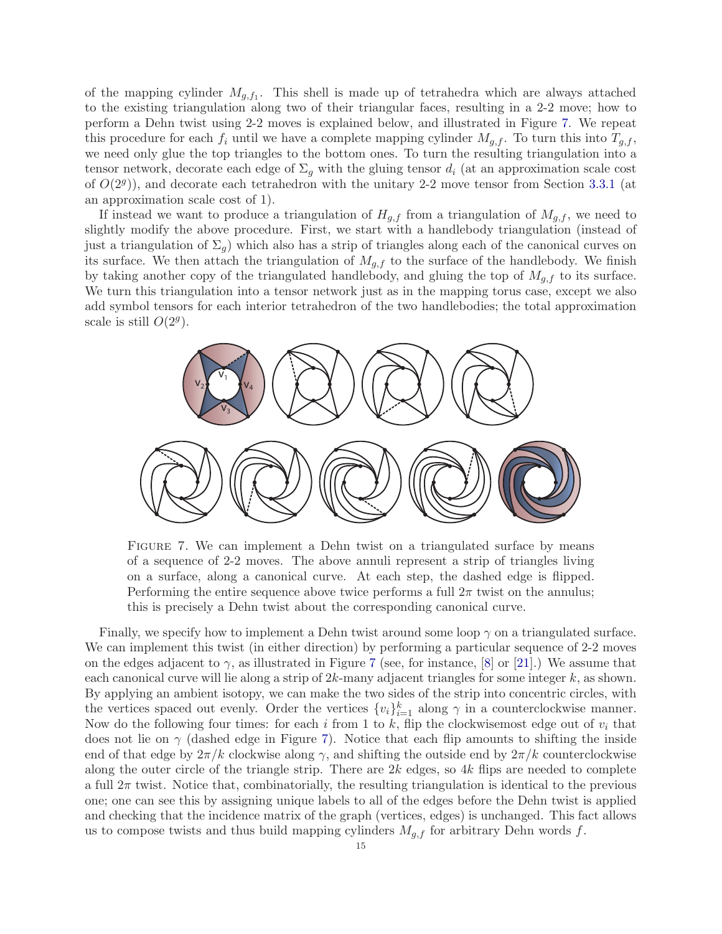of the mapping cylinder  $M_{g,f_1}$ . This shell is made up of tetrahedra which are always attached to the existing triangulation along two of their triangular faces, resulting in a 2-2 move; how to perform a Dehn twist using 2-2 moves is explained below, and illustrated in Figure [7.](#page-14-0) We repeat this procedure for each  $f_i$  until we have a complete mapping cylinder  $M_{g,f}$ . To turn this into  $T_{g,f}$ , we need only glue the top triangles to the bottom ones. To turn the resulting triangulation into a tensor network, decorate each edge of  $\Sigma_q$  with the gluing tensor  $d_i$  (at an approximation scale cost of  $O(2<sup>g</sup>)$ ), and decorate each tetrahedron with the unitary 2-2 move tensor from Section [3.3.1](#page-11-0) (at an approximation scale cost of 1).

If instead we want to produce a triangulation of  $H_{g,f}$  from a triangulation of  $M_{g,f}$ , we need to slightly modify the above procedure. First, we start with a handlebody triangulation (instead of just a triangulation of  $\Sigma_q$ ) which also has a strip of triangles along each of the canonical curves on its surface. We then attach the triangulation of  $M_{g,f}$  to the surface of the handlebody. We finish by taking another copy of the triangulated handlebody, and gluing the top of  $M_{q,f}$  to its surface. We turn this triangulation into a tensor network just as in the mapping torus case, except we also add symbol tensors for each interior tetrahedron of the two handlebodies; the total approximation scale is still  $O(2<sup>g</sup>)$ .



<span id="page-14-0"></span>Figure 7. We can implement a Dehn twist on a triangulated surface by means of a sequence of 2-2 moves. The above annuli represent a strip of triangles living on a surface, along a canonical curve. At each step, the dashed edge is flipped. Performing the entire sequence above twice performs a full  $2\pi$  twist on the annulus; this is precisely a Dehn twist about the corresponding canonical curve.

Finally, we specify how to implement a Dehn twist around some loop  $\gamma$  on a triangulated surface. We can implement this twist (in either direction) by performing a particular sequence of 2-2 moves on the edges adjacent to  $\gamma$ , as illustrated in Figure [7](#page-14-0) (see, for instance, [\[8\]](#page-17-17) or [\[21\]](#page-17-18).) We assume that each canonical curve will lie along a strip of  $2k$ -many adjacent triangles for some integer k, as shown. By applying an ambient isotopy, we can make the two sides of the strip into concentric circles, with the vertices spaced out evenly. Order the vertices  $\{v_i\}_{i=1}^k$  along  $\gamma$  in a counterclockwise manner. Now do the following four times: for each i from 1 to k, flip the clockwise most edge out of  $v_i$  that does not lie on  $\gamma$  (dashed edge in Figure [7\)](#page-14-0). Notice that each flip amounts to shifting the inside end of that edge by  $2\pi/k$  clockwise along  $\gamma$ , and shifting the outside end by  $2\pi/k$  counterclockwise along the outer circle of the triangle strip. There are  $2k$  edges, so  $4k$  flips are needed to complete a full  $2\pi$  twist. Notice that, combinatorially, the resulting triangulation is identical to the previous one; one can see this by assigning unique labels to all of the edges before the Dehn twist is applied and checking that the incidence matrix of the graph (vertices, edges) is unchanged. This fact allows us to compose twists and thus build mapping cylinders  $M_{q,f}$  for arbitrary Dehn words f.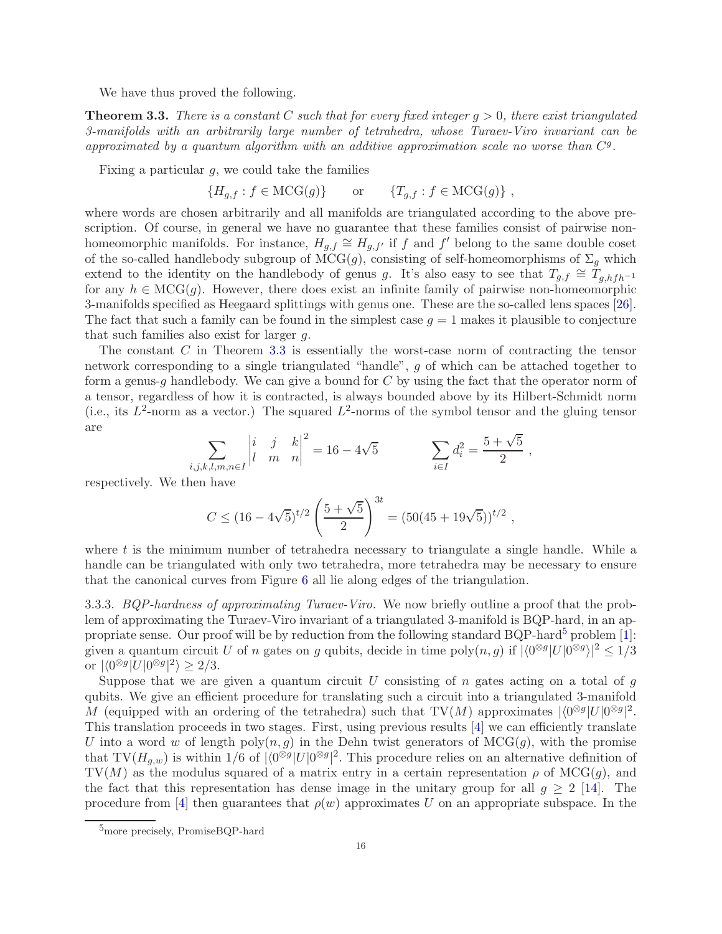We have thus proved the following.

<span id="page-15-0"></span>**Theorem 3.3.** There is a constant C such that for every fixed integer  $g > 0$ , there exist triangulated 3-manifolds with an arbitrarily large number of tetrahedra, whose Turaev-Viro invariant can be approximated by a quantum algorithm with an additive approximation scale no worse than  $C<sup>g</sup>$ .

Fixing a particular  $q$ , we could take the families

$$
\{H_{g,f} : f \in \mathrm{MCG}(g)\} \qquad \text{or} \qquad \{T_{g,f} : f \in \mathrm{MCG}(g)\}\;,
$$

where words are chosen arbitrarily and all manifolds are triangulated according to the above prescription. Of course, in general we have no guarantee that these families consist of pairwise nonhomeomorphic manifolds. For instance,  $H_{g,f} \cong H_{g,f'}$  if f and f' belong to the same double coset of the so-called handlebody subgroup of  $MCG(g)$ , consisting of self-homeomorphisms of  $\Sigma_g$  which extend to the identity on the handlebody of genus g. It's also easy to see that  $T_{q,f} \cong T_{q,hfh^{-1}}$ for any  $h \in \mathrm{MCG}(g)$ . However, there does exist an infinite family of pairwise non-homeomorphic 3-manifolds specified as Heegaard splittings with genus one. These are the so-called lens spaces [\[26\]](#page-18-11). The fact that such a family can be found in the simplest case  $q = 1$  makes it plausible to conjecture that such families also exist for larger  $q$ .

The constant C in Theorem [3.3](#page-15-0) is essentially the worst-case norm of contracting the tensor network corresponding to a single triangulated "handle", g of which can be attached together to form a genus-g handlebody. We can give a bound for  $C$  by using the fact that the operator norm of a tensor, regardless of how it is contracted, is always bounded above by its Hilbert-Schmidt norm (i.e., its  $L^2$ -norm as a vector.) The squared  $L^2$ -norms of the symbol tensor and the gluing tensor are

$$
\sum_{i,j,k,l,m,n \in I} \begin{vmatrix} i & j & k \\ l & m & n \end{vmatrix}^2 = 16 - 4\sqrt{5} \qquad \qquad \sum_{i \in I} d_i^2 = \frac{5 + \sqrt{5}}{2} ,
$$

respectively. We then have

$$
C \le (16 - 4\sqrt{5})^{t/2} \left(\frac{5 + \sqrt{5}}{2}\right)^{3t} = (50(45 + 19\sqrt{5}))^{t/2},
$$

where  $t$  is the minimum number of tetrahedra necessary to triangulate a single handle. While a handle can be triangulated with only two tetrahedra, more tetrahedra may be necessary to ensure that the canonical curves from Figure [6](#page-13-1) all lie along edges of the triangulation.

3.3.3. BQP-hardness of approximating Turaev-Viro. We now briefly outline a proof that the problem of approximating the Turaev-Viro invariant of a triangulated 3-manifold is BQP-hard, in an ap-propriate sense. Our proof will be by reduction from the following standard BQP-hard<sup>[5](#page-15-1)</sup> problem [\[1\]](#page-17-2): given a quantum circuit U of n gates on g qubits, decide in time  $poly(n, g)$  if  $|\langle 0^{\otimes g} | U | 0^{\otimes g} \rangle|^2 \leq 1/3$ or  $\left|\langle 0^{\otimes g}|U|0^{\otimes g}|^2 \rangle \geq 2/3.$ 

Suppose that we are given a quantum circuit  $U$  consisting of  $n$  gates acting on a total of  $g$ qubits. We give an efficient procedure for translating such a circuit into a triangulated 3-manifold M (equipped with an ordering of the tetrahedra) such that TV(M) approximates  $|\langle 0^{\otimes g} | U | 0^{\otimes g} |^2$ . This translation proceeds in two stages. First, using previous results [\[4\]](#page-17-7) we can efficiently translate U into a word w of length poly $(n, g)$  in the Dehn twist generators of MCG $(g)$ , with the promise that  $TV(H_{g,w})$  is within  $1/6$  of  $|\langle 0^{\otimes g}|U|0^{\otimes g}|^2$ . This procedure relies on an alternative definition of TV(M) as the modulus squared of a matrix entry in a certain representation  $\rho$  of MCG(q), and the fact that this representation has dense image in the unitary group for all  $g \geq 2$  [\[14\]](#page-17-3). The procedure from [\[4\]](#page-17-7) then guarantees that  $\rho(w)$  approximates U on an appropriate subspace. In the

<span id="page-15-1"></span><sup>&</sup>lt;sup>5</sup>more precisely, PromiseBQP-hard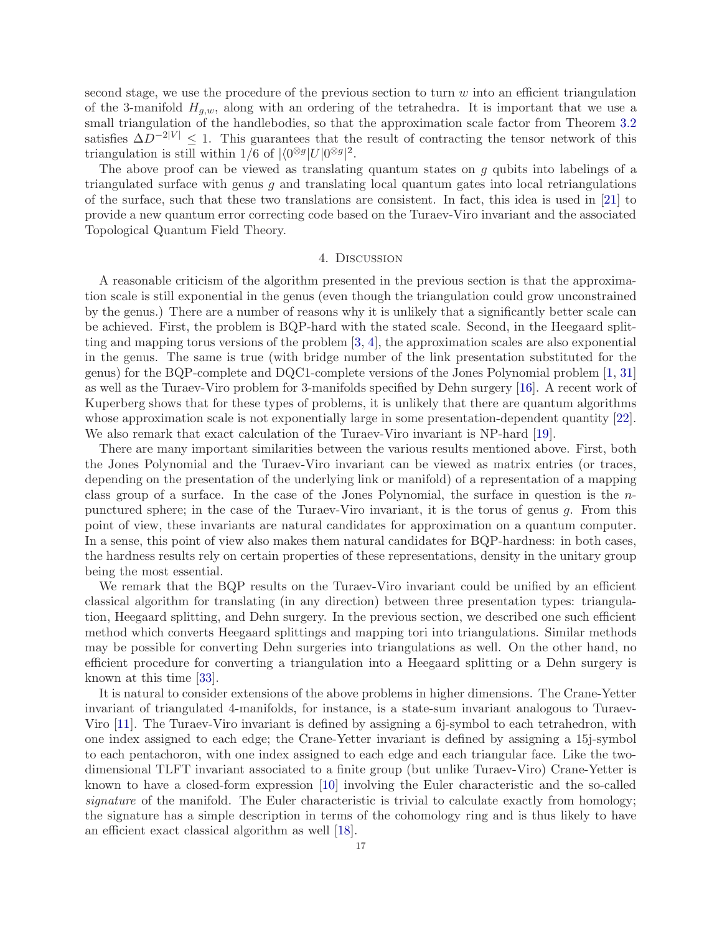second stage, we use the procedure of the previous section to turn  $w$  into an efficient triangulation of the 3-manifold  $H_{g,w}$ , along with an ordering of the tetrahedra. It is important that we use a small triangulation of the handlebodies, so that the approximation scale factor from Theorem [3.2](#page-10-0) satisfies  $\Delta D^{-2|V|} \leq 1$ . This guarantees that the result of contracting the tensor network of this triangulation is still within  $1/6$  of  $|\langle 0^{\otimes g} | U | 0^{\otimes g} |^2$ .

The above proof can be viewed as translating quantum states on  $g$  qubits into labelings of a triangulated surface with genus  $g$  and translating local quantum gates into local retriangulations of the surface, such that these two translations are consistent. In fact, this idea is used in [\[21\]](#page-17-18) to provide a new quantum error correcting code based on the Turaev-Viro invariant and the associated Topological Quantum Field Theory.

### 4. Discussion

A reasonable criticism of the algorithm presented in the previous section is that the approximation scale is still exponential in the genus (even though the triangulation could grow unconstrained by the genus.) There are a number of reasons why it is unlikely that a significantly better scale can be achieved. First, the problem is BQP-hard with the stated scale. Second, in the Heegaard splitting and mapping torus versions of the problem [\[3,](#page-17-8) [4\]](#page-17-7), the approximation scales are also exponential in the genus. The same is true (with bridge number of the link presentation substituted for the genus) for the BQP-complete and DQC1-complete versions of the Jones Polynomial problem [\[1,](#page-17-2) [31\]](#page-18-2) as well as the Turaev-Viro problem for 3-manifolds specified by Dehn surgery [\[16\]](#page-17-9). A recent work of Kuperberg shows that for these types of problems, it is unlikely that there are quantum algorithms whose approximation scale is not exponentially large in some presentation-dependent quantity [\[22\]](#page-17-19). We also remark that exact calculation of the Turaev-Viro invariant is NP-hard [\[19\]](#page-17-5).

There are many important similarities between the various results mentioned above. First, both the Jones Polynomial and the Turaev-Viro invariant can be viewed as matrix entries (or traces, depending on the presentation of the underlying link or manifold) of a representation of a mapping class group of a surface. In the case of the Jones Polynomial, the surface in question is the  $n$ punctured sphere; in the case of the Turaev-Viro invariant, it is the torus of genus g. From this point of view, these invariants are natural candidates for approximation on a quantum computer. In a sense, this point of view also makes them natural candidates for BQP-hardness: in both cases, the hardness results rely on certain properties of these representations, density in the unitary group being the most essential.

We remark that the BQP results on the Turaev-Viro invariant could be unified by an efficient classical algorithm for translating (in any direction) between three presentation types: triangulation, Heegaard splitting, and Dehn surgery. In the previous section, we described one such efficient method which converts Heegaard splittings and mapping tori into triangulations. Similar methods may be possible for converting Dehn surgeries into triangulations as well. On the other hand, no efficient procedure for converting a triangulation into a Heegaard splitting or a Dehn surgery is known at this time [\[33\]](#page-18-7).

It is natural to consider extensions of the above problems in higher dimensions. The Crane-Yetter invariant of triangulated 4-manifolds, for instance, is a state-sum invariant analogous to Turaev-Viro [\[11\]](#page-17-20). The Turaev-Viro invariant is defined by assigning a 6j-symbol to each tetrahedron, with one index assigned to each edge; the Crane-Yetter invariant is defined by assigning a 15j-symbol to each pentachoron, with one index assigned to each edge and each triangular face. Like the twodimensional TLFT invariant associated to a finite group (but unlike Turaev-Viro) Crane-Yetter is known to have a closed-form expression [\[10\]](#page-17-21) involving the Euler characteristic and the so-called signature of the manifold. The Euler characteristic is trivial to calculate exactly from homology; the signature has a simple description in terms of the cohomology ring and is thus likely to have an efficient exact classical algorithm as well [\[18\]](#page-17-13).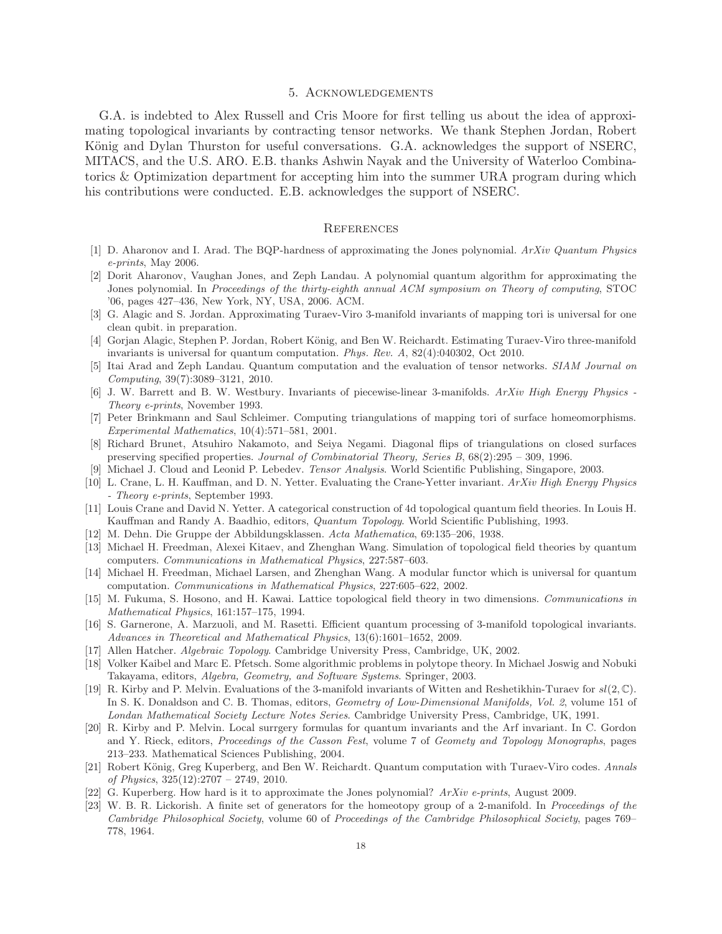# 5. Acknowledgements

G.A. is indebted to Alex Russell and Cris Moore for first telling us about the idea of approximating topological invariants by contracting tensor networks. We thank Stephen Jordan, Robert König and Dylan Thurston for useful conversations. G.A. acknowledges the support of NSERC, MITACS, and the U.S. ARO. E.B. thanks Ashwin Nayak and the University of Waterloo Combinatorics & Optimization department for accepting him into the summer URA program during which his contributions were conducted. E.B. acknowledges the support of NSERC.

### **REFERENCES**

- <span id="page-17-2"></span><span id="page-17-1"></span>[1] D. Aharonov and I. Arad. The BQP-hardness of approximating the Jones polynomial. ArXiv Quantum Physics e-prints, May 2006.
- [2] Dorit Aharonov, Vaughan Jones, and Zeph Landau. A polynomial quantum algorithm for approximating the Jones polynomial. In Proceedings of the thirty-eighth annual ACM symposium on Theory of computing, STOC '06, pages 427–436, New York, NY, USA, 2006. ACM.
- <span id="page-17-8"></span><span id="page-17-7"></span>[3] G. Alagic and S. Jordan. Approximating Turaev-Viro 3-manifold invariants of mapping tori is universal for one clean qubit. in preparation.
- [4] Gorjan Alagic, Stephen P. Jordan, Robert König, and Ben W. Reichardt. Estimating Turaev-Viro three-manifold invariants is universal for quantum computation. Phys. Rev. A, 82(4):040302, Oct 2010.
- <span id="page-17-4"></span>[5] Itai Arad and Zeph Landau. Quantum computation and the evaluation of tensor networks. SIAM Journal on Computing, 39(7):3089–3121, 2010.
- <span id="page-17-14"></span>[6] J. W. Barrett and B. W. Westbury. Invariants of piecewise-linear 3-manifolds. ArXiv High Energy Physics - Theory e-prints, November 1993.
- <span id="page-17-10"></span>[7] Peter Brinkmann and Saul Schleimer. Computing triangulations of mapping tori of surface homeomorphisms. Experimental Mathematics, 10(4):571–581, 2001.
- <span id="page-17-17"></span>[8] Richard Brunet, Atsuhiro Nakamoto, and Seiya Negami. Diagonal flips of triangulations on closed surfaces preserving specified properties. Journal of Combinatorial Theory, Series B, 68(2):295 – 309, 1996.
- <span id="page-17-21"></span><span id="page-17-11"></span>[9] Michael J. Cloud and Leonid P. Lebedev. Tensor Analysis. World Scientific Publishing, Singapore, 2003.
- [10] L. Crane, L. H. Kauffman, and D. N. Yetter. Evaluating the Crane-Yetter invariant. ArXiv High Energy Physics - Theory e-prints, September 1993.
- <span id="page-17-20"></span><span id="page-17-15"></span>[11] Louis Crane and David N. Yetter. A categorical construction of 4d topological quantum field theories. In Louis H. Kauffman and Randy A. Baadhio, editors, Quantum Topology. World Scientific Publishing, 1993.
- <span id="page-17-0"></span>[12] M. Dehn. Die Gruppe der Abbildungsklassen. Acta Mathematica, 69:135–206, 1938.
- [13] Michael H. Freedman, Alexei Kitaev, and Zhenghan Wang. Simulation of topological field theories by quantum computers. Communications in Mathematical Physics, 227:587–603.
- <span id="page-17-3"></span>[14] Michael H. Freedman, Michael Larsen, and Zhenghan Wang. A modular functor which is universal for quantum computation. Communications in Mathematical Physics, 227:605–622, 2002.
- <span id="page-17-12"></span>[15] M. Fukuma, S. Hosono, and H. Kawai. Lattice topological field theory in two dimensions. Communications in Mathematical Physics, 161:157–175, 1994.
- <span id="page-17-9"></span>[16] S. Garnerone, A. Marzuoli, and M. Rasetti. Efficient quantum processing of 3-manifold topological invariants. Advances in Theoretical and Mathematical Physics, 13(6):1601–1652, 2009.
- <span id="page-17-13"></span>[17] Allen Hatcher. Algebraic Topology. Cambridge University Press, Cambridge, UK, 2002.
- [18] Volker Kaibel and Marc E. Pfetsch. Some algorithmic problems in polytope theory. In Michael Joswig and Nobuki Takayama, editors, Algebra, Geometry, and Software Systems. Springer, 2003.
- <span id="page-17-5"></span>[19] R. Kirby and P. Melvin. Evaluations of the 3-manifold invariants of Witten and Reshetikhin-Turaev for sl(2, C). In S. K. Donaldson and C. B. Thomas, editors, Geometry of Low-Dimensional Manifolds, Vol. 2, volume 151 of Londan Mathematical Society Lecture Notes Series. Cambridge University Press, Cambridge, UK, 1991.
- <span id="page-17-6"></span>[20] R. Kirby and P. Melvin. Local surrgery formulas for quantum invariants and the Arf invariant. In C. Gordon and Y. Rieck, editors, Proceedings of the Casson Fest, volume 7 of Geomety and Topology Monographs, pages 213–233. Mathematical Sciences Publishing, 2004.
- <span id="page-17-18"></span>[21] Robert König, Greg Kuperberg, and Ben W. Reichardt. Quantum computation with Turaev-Viro codes. Annals of Physics,  $325(12):2707 - 2749$ ,  $2010$ .
- <span id="page-17-19"></span><span id="page-17-16"></span>[22] G. Kuperberg. How hard is it to approximate the Jones polynomial?  $ArXiv$  e-prints, August 2009.
- [23] W. B. R. Lickorish. A finite set of generators for the homeotopy group of a 2-manifold. In Proceedings of the Cambridge Philosophical Society, volume 60 of Proceedings of the Cambridge Philosophical Society, pages 769– 778, 1964.